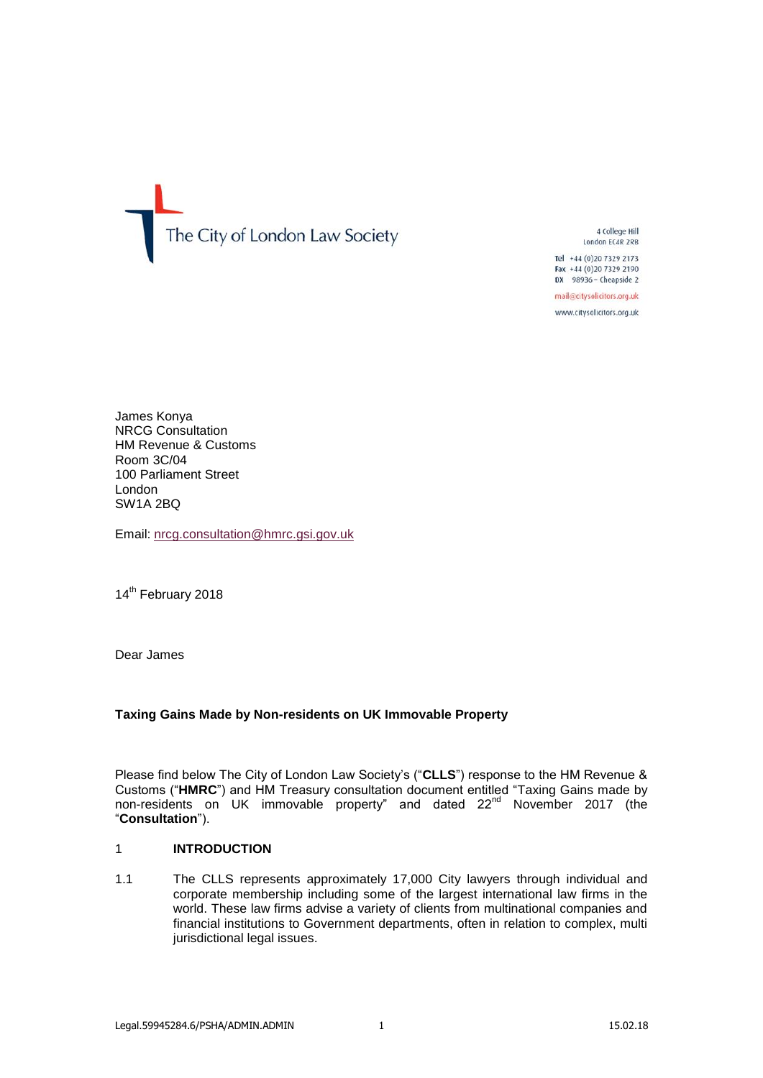The City of London Law Society

4 College Hill London EC4R 2RB

Tel +44 (0) 20 7329 2173 Fax +44 (0)20 7329 2190 DX 98936 - Cheapside 2

mail@citysolicitors.org.uk

www.citysolicitors.org.uk

James Konya NRCG Consultation HM Revenue & Customs Room 3C/04 100 Parliament Street London SW1A 2BQ

Email: [nrcg.consultation@hmrc.gsi.gov.uk](mailto:nrcg.consultation@hmrc.gsi.gov.uk)

14<sup>th</sup> February 2018

Dear James

# **Taxing Gains Made by Non-residents on UK Immovable Property**

Please find below The City of London Law Society's ("**CLLS**") response to the HM Revenue & Customs ("**HMRC**") and HM Treasury consultation document entitled "Taxing Gains made by non-residents on UK immovable property" and dated 22<sup>nd</sup> November 2017 (the "**Consultation**").

# 1 **INTRODUCTION**

1.1 The CLLS represents approximately 17,000 City lawyers through individual and corporate membership including some of the largest international law firms in the world. These law firms advise a variety of clients from multinational companies and financial institutions to Government departments, often in relation to complex, multi jurisdictional legal issues.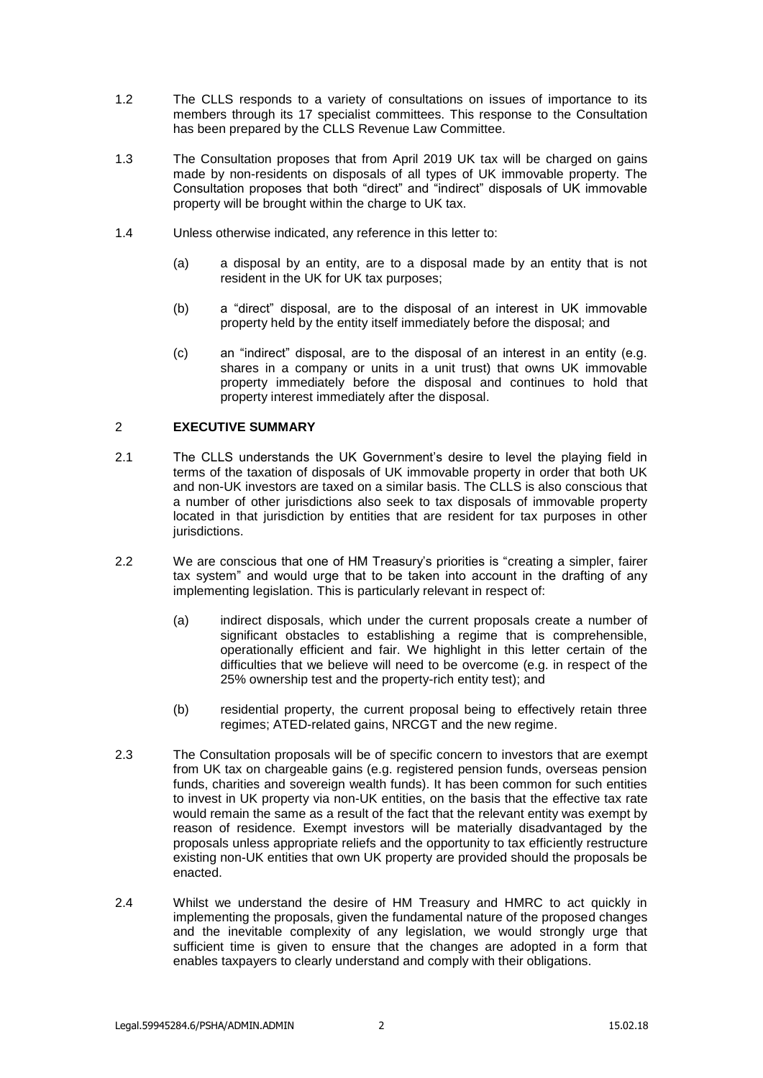- 1.2 The CLLS responds to a variety of consultations on issues of importance to its members through its 17 specialist committees. This response to the Consultation has been prepared by the CLLS Revenue Law Committee.
- 1.3 The Consultation proposes that from April 2019 UK tax will be charged on gains made by non-residents on disposals of all types of UK immovable property. The Consultation proposes that both "direct" and "indirect" disposals of UK immovable property will be brought within the charge to UK tax.
- 1.4 Unless otherwise indicated, any reference in this letter to:
	- (a) a disposal by an entity, are to a disposal made by an entity that is not resident in the UK for UK tax purposes;
	- (b) a "direct" disposal, are to the disposal of an interest in UK immovable property held by the entity itself immediately before the disposal; and
	- (c) an "indirect" disposal, are to the disposal of an interest in an entity (e.g. shares in a company or units in a unit trust) that owns UK immovable property immediately before the disposal and continues to hold that property interest immediately after the disposal.

# 2 **EXECUTIVE SUMMARY**

- 2.1 The CLLS understands the UK Government's desire to level the playing field in terms of the taxation of disposals of UK immovable property in order that both UK and non-UK investors are taxed on a similar basis. The CLLS is also conscious that a number of other jurisdictions also seek to tax disposals of immovable property located in that jurisdiction by entities that are resident for tax purposes in other jurisdictions.
- 2.2 We are conscious that one of HM Treasury's priorities is "creating a simpler, fairer tax system" and would urge that to be taken into account in the drafting of any implementing legislation. This is particularly relevant in respect of:
	- (a) indirect disposals, which under the current proposals create a number of significant obstacles to establishing a regime that is comprehensible, operationally efficient and fair. We highlight in this letter certain of the difficulties that we believe will need to be overcome (e.g. in respect of the 25% ownership test and the property-rich entity test); and
	- (b) residential property, the current proposal being to effectively retain three regimes; ATED-related gains, NRCGT and the new regime.
- 2.3 The Consultation proposals will be of specific concern to investors that are exempt from UK tax on chargeable gains (e.g. registered pension funds, overseas pension funds, charities and sovereign wealth funds). It has been common for such entities to invest in UK property via non-UK entities, on the basis that the effective tax rate would remain the same as a result of the fact that the relevant entity was exempt by reason of residence. Exempt investors will be materially disadvantaged by the proposals unless appropriate reliefs and the opportunity to tax efficiently restructure existing non-UK entities that own UK property are provided should the proposals be enacted.
- 2.4 Whilst we understand the desire of HM Treasury and HMRC to act quickly in implementing the proposals, given the fundamental nature of the proposed changes and the inevitable complexity of any legislation, we would strongly urge that sufficient time is given to ensure that the changes are adopted in a form that enables taxpayers to clearly understand and comply with their obligations.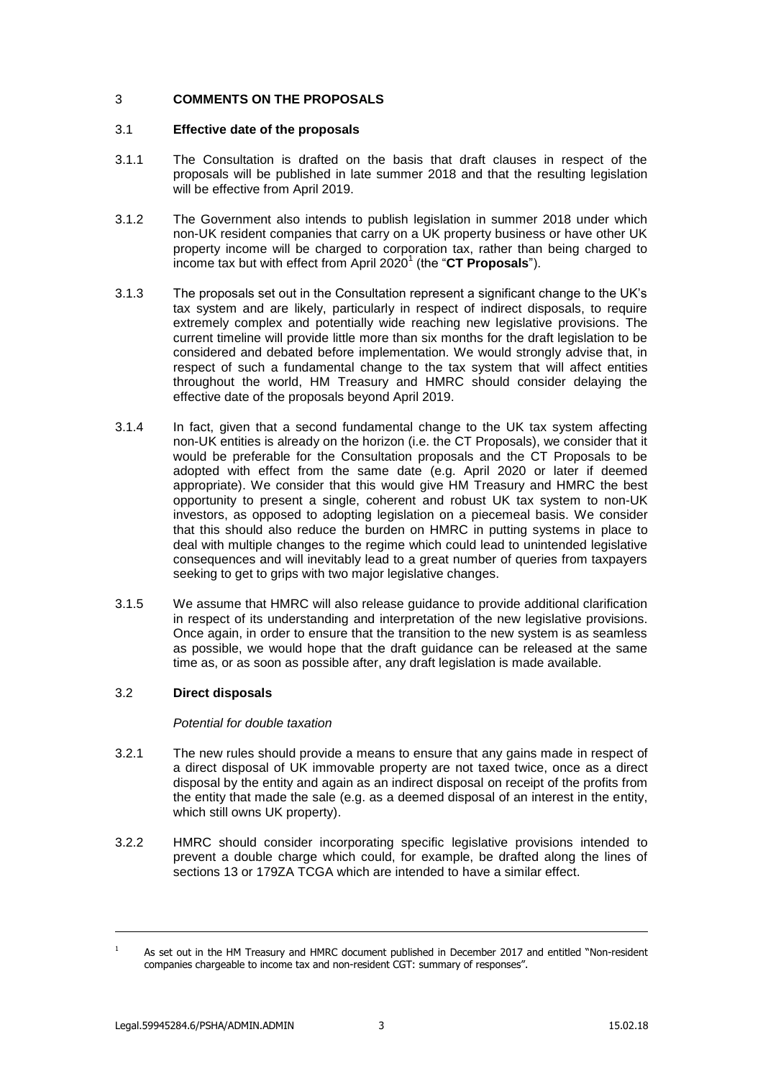# 3 **COMMENTS ON THE PROPOSALS**

# 3.1 **Effective date of the proposals**

- 3.1.1 The Consultation is drafted on the basis that draft clauses in respect of the proposals will be published in late summer 2018 and that the resulting legislation will be effective from April 2019.
- 3.1.2 The Government also intends to publish legislation in summer 2018 under which non-UK resident companies that carry on a UK property business or have other UK property income will be charged to corporation tax, rather than being charged to income tax but with effect from April 2020<sup>1</sup> (the "**CT Proposals**").
- 3.1.3 The proposals set out in the Consultation represent a significant change to the UK's tax system and are likely, particularly in respect of indirect disposals, to require extremely complex and potentially wide reaching new legislative provisions. The current timeline will provide little more than six months for the draft legislation to be considered and debated before implementation. We would strongly advise that, in respect of such a fundamental change to the tax system that will affect entities throughout the world, HM Treasury and HMRC should consider delaying the effective date of the proposals beyond April 2019.
- 3.1.4 In fact, given that a second fundamental change to the UK tax system affecting non-UK entities is already on the horizon (i.e. the CT Proposals), we consider that it would be preferable for the Consultation proposals and the CT Proposals to be adopted with effect from the same date (e.g. April 2020 or later if deemed appropriate). We consider that this would give HM Treasury and HMRC the best opportunity to present a single, coherent and robust UK tax system to non-UK investors, as opposed to adopting legislation on a piecemeal basis. We consider that this should also reduce the burden on HMRC in putting systems in place to deal with multiple changes to the regime which could lead to unintended legislative consequences and will inevitably lead to a great number of queries from taxpayers seeking to get to grips with two major legislative changes.
- 3.1.5 We assume that HMRC will also release guidance to provide additional clarification in respect of its understanding and interpretation of the new legislative provisions. Once again, in order to ensure that the transition to the new system is as seamless as possible, we would hope that the draft guidance can be released at the same time as, or as soon as possible after, any draft legislation is made available.

# 3.2 **Direct disposals**

### *Potential for double taxation*

- 3.2.1 The new rules should provide a means to ensure that any gains made in respect of a direct disposal of UK immovable property are not taxed twice, once as a direct disposal by the entity and again as an indirect disposal on receipt of the profits from the entity that made the sale (e.g. as a deemed disposal of an interest in the entity, which still owns UK property).
- 3.2.2 HMRC should consider incorporating specific legislative provisions intended to prevent a double charge which could, for example, be drafted along the lines of sections 13 or 179ZA TCGA which are intended to have a similar effect.

-

As set out in the HM Treasury and HMRC document published in December 2017 and entitled "Non-resident companies chargeable to income tax and non-resident CGT: summary of responses".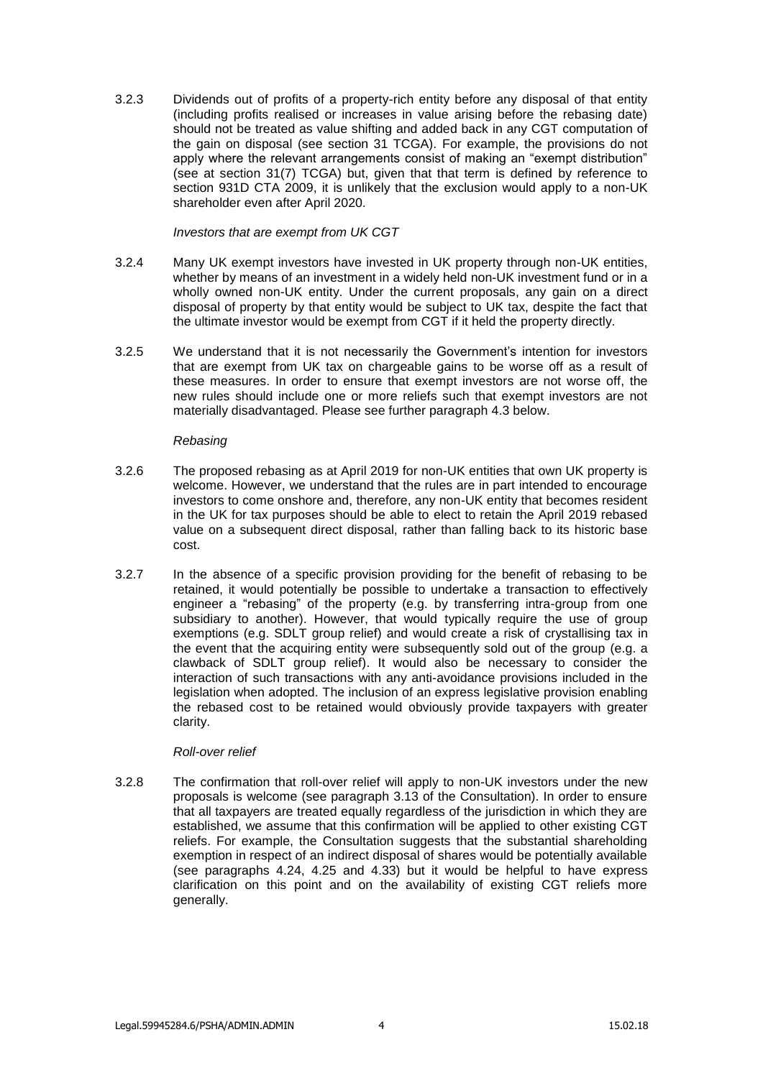<span id="page-3-0"></span>3.2.3 Dividends out of profits of a property-rich entity before any disposal of that entity (including profits realised or increases in value arising before the rebasing date) should not be treated as value shifting and added back in any CGT computation of the gain on disposal (see section 31 TCGA). For example, the provisions do not apply where the relevant arrangements consist of making an "exempt distribution" (see at section 31(7) TCGA) but, given that that term is defined by reference to section 931D CTA 2009, it is unlikely that the exclusion would apply to a non-UK shareholder even after April 2020.

### *Investors that are exempt from UK CGT*

- 3.2.4 Many UK exempt investors have invested in UK property through non-UK entities, whether by means of an investment in a widely held non-UK investment fund or in a wholly owned non-UK entity. Under the current proposals, any gain on a direct disposal of property by that entity would be subject to UK tax, despite the fact that the ultimate investor would be exempt from CGT if it held the property directly.
- 3.2.5 We understand that it is not necessarily the Government's intention for investors that are exempt from UK tax on chargeable gains to be worse off as a result of these measures. In order to ensure that exempt investors are not worse off, the new rules should include one or more reliefs such that exempt investors are not materially disadvantaged. Please see further paragraph [4.3](#page-13-0) below.

### *Rebasing*

- <span id="page-3-1"></span>3.2.6 The proposed rebasing as at April 2019 for non-UK entities that own UK property is welcome. However, we understand that the rules are in part intended to encourage investors to come onshore and, therefore, any non-UK entity that becomes resident in the UK for tax purposes should be able to elect to retain the April 2019 rebased value on a subsequent direct disposal, rather than falling back to its historic base cost.
- <span id="page-3-2"></span>3.2.7 In the absence of a specific provision providing for the benefit of rebasing to be retained, it would potentially be possible to undertake a transaction to effectively engineer a "rebasing" of the property (e.g. by transferring intra-group from one subsidiary to another). However, that would typically require the use of group exemptions (e.g. SDLT group relief) and would create a risk of crystallising tax in the event that the acquiring entity were subsequently sold out of the group (e.g. a clawback of SDLT group relief). It would also be necessary to consider the interaction of such transactions with any anti-avoidance provisions included in the legislation when adopted. The inclusion of an express legislative provision enabling the rebased cost to be retained would obviously provide taxpayers with greater clarity.

### *Roll-over relief*

3.2.8 The confirmation that roll-over relief will apply to non-UK investors under the new proposals is welcome (see paragraph 3.13 of the Consultation). In order to ensure that all taxpayers are treated equally regardless of the jurisdiction in which they are established, we assume that this confirmation will be applied to other existing CGT reliefs. For example, the Consultation suggests that the substantial shareholding exemption in respect of an indirect disposal of shares would be potentially available (see paragraphs 4.24, 4.25 and 4.33) but it would be helpful to have express clarification on this point and on the availability of existing CGT reliefs more generally.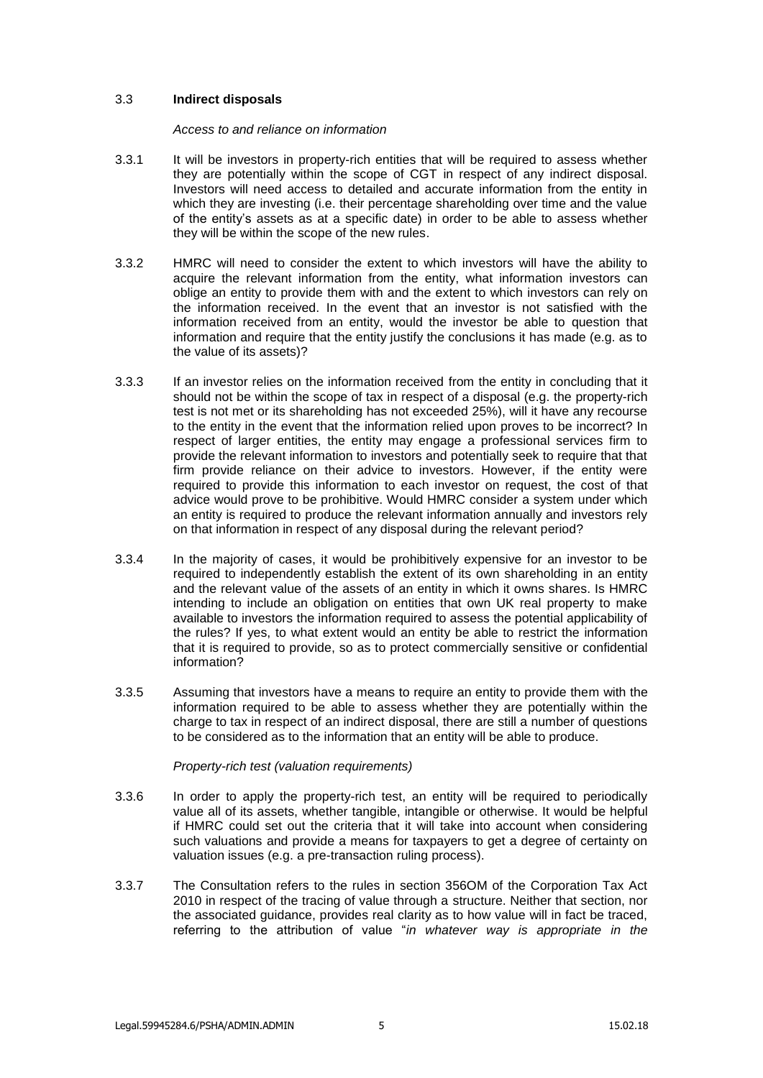## 3.3 **Indirect disposals**

### *Access to and reliance on information*

- 3.3.1 It will be investors in property-rich entities that will be required to assess whether they are potentially within the scope of CGT in respect of any indirect disposal. Investors will need access to detailed and accurate information from the entity in which they are investing (i.e. their percentage shareholding over time and the value of the entity's assets as at a specific date) in order to be able to assess whether they will be within the scope of the new rules.
- 3.3.2 HMRC will need to consider the extent to which investors will have the ability to acquire the relevant information from the entity, what information investors can oblige an entity to provide them with and the extent to which investors can rely on the information received. In the event that an investor is not satisfied with the information received from an entity, would the investor be able to question that information and require that the entity justify the conclusions it has made (e.g. as to the value of its assets)?
- 3.3.3 If an investor relies on the information received from the entity in concluding that it should not be within the scope of tax in respect of a disposal (e.g. the property-rich test is not met or its shareholding has not exceeded 25%), will it have any recourse to the entity in the event that the information relied upon proves to be incorrect? In respect of larger entities, the entity may engage a professional services firm to provide the relevant information to investors and potentially seek to require that that firm provide reliance on their advice to investors. However, if the entity were required to provide this information to each investor on request, the cost of that advice would prove to be prohibitive. Would HMRC consider a system under which an entity is required to produce the relevant information annually and investors rely on that information in respect of any disposal during the relevant period?
- 3.3.4 In the majority of cases, it would be prohibitively expensive for an investor to be required to independently establish the extent of its own shareholding in an entity and the relevant value of the assets of an entity in which it owns shares. Is HMRC intending to include an obligation on entities that own UK real property to make available to investors the information required to assess the potential applicability of the rules? If yes, to what extent would an entity be able to restrict the information that it is required to provide, so as to protect commercially sensitive or confidential information?
- 3.3.5 Assuming that investors have a means to require an entity to provide them with the information required to be able to assess whether they are potentially within the charge to tax in respect of an indirect disposal, there are still a number of questions to be considered as to the information that an entity will be able to produce.

### *Property-rich test (valuation requirements)*

- 3.3.6 In order to apply the property-rich test, an entity will be required to periodically value all of its assets, whether tangible, intangible or otherwise. It would be helpful if HMRC could set out the criteria that it will take into account when considering such valuations and provide a means for taxpayers to get a degree of certainty on valuation issues (e.g. a pre-transaction ruling process).
- 3.3.7 The Consultation refers to the rules in section 356OM of the Corporation Tax Act 2010 in respect of the tracing of value through a structure. Neither that section, nor the associated guidance, provides real clarity as to how value will in fact be traced, referring to the attribution of value "*in whatever way is appropriate in the*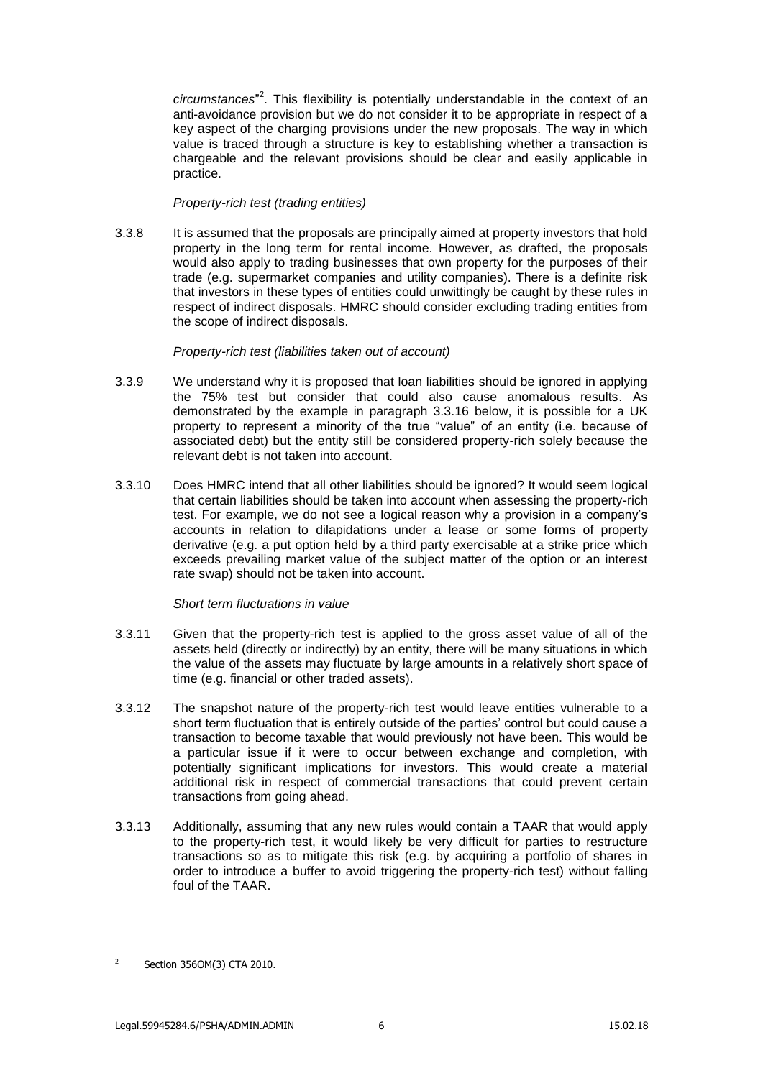circumstances<sup>"2</sup>. This flexibility is potentially understandable in the context of an anti-avoidance provision but we do not consider it to be appropriate in respect of a key aspect of the charging provisions under the new proposals. The way in which value is traced through a structure is key to establishing whether a transaction is chargeable and the relevant provisions should be clear and easily applicable in practice.

# *Property-rich test (trading entities)*

3.3.8 It is assumed that the proposals are principally aimed at property investors that hold property in the long term for rental income. However, as drafted, the proposals would also apply to trading businesses that own property for the purposes of their trade (e.g. supermarket companies and utility companies). There is a definite risk that investors in these types of entities could unwittingly be caught by these rules in respect of indirect disposals. HMRC should consider excluding trading entities from the scope of indirect disposals.

## *Property-rich test (liabilities taken out of account)*

- 3.3.9 We understand why it is proposed that loan liabilities should be ignored in applying the 75% test but consider that could also cause anomalous results. As demonstrated by the example in paragraph [3.3.16](#page-6-0) below, it is possible for a UK property to represent a minority of the true "value" of an entity (i.e. because of associated debt) but the entity still be considered property-rich solely because the relevant debt is not taken into account.
- 3.3.10 Does HMRC intend that all other liabilities should be ignored? It would seem logical that certain liabilities should be taken into account when assessing the property-rich test. For example, we do not see a logical reason why a provision in a company's accounts in relation to dilapidations under a lease or some forms of property derivative (e.g. a put option held by a third party exercisable at a strike price which exceeds prevailing market value of the subject matter of the option or an interest rate swap) should not be taken into account.

### *Short term fluctuations in value*

- 3.3.11 Given that the property-rich test is applied to the gross asset value of all of the assets held (directly or indirectly) by an entity, there will be many situations in which the value of the assets may fluctuate by large amounts in a relatively short space of time (e.g. financial or other traded assets).
- 3.3.12 The snapshot nature of the property-rich test would leave entities vulnerable to a short term fluctuation that is entirely outside of the parties' control but could cause a transaction to become taxable that would previously not have been. This would be a particular issue if it were to occur between exchange and completion, with potentially significant implications for investors. This would create a material additional risk in respect of commercial transactions that could prevent certain transactions from going ahead.
- 3.3.13 Additionally, assuming that any new rules would contain a TAAR that would apply to the property-rich test, it would likely be very difficult for parties to restructure transactions so as to mitigate this risk (e.g. by acquiring a portfolio of shares in order to introduce a buffer to avoid triggering the property-rich test) without falling foul of the TAAR.

-

<sup>2</sup> Section 356OM(3) CTA 2010.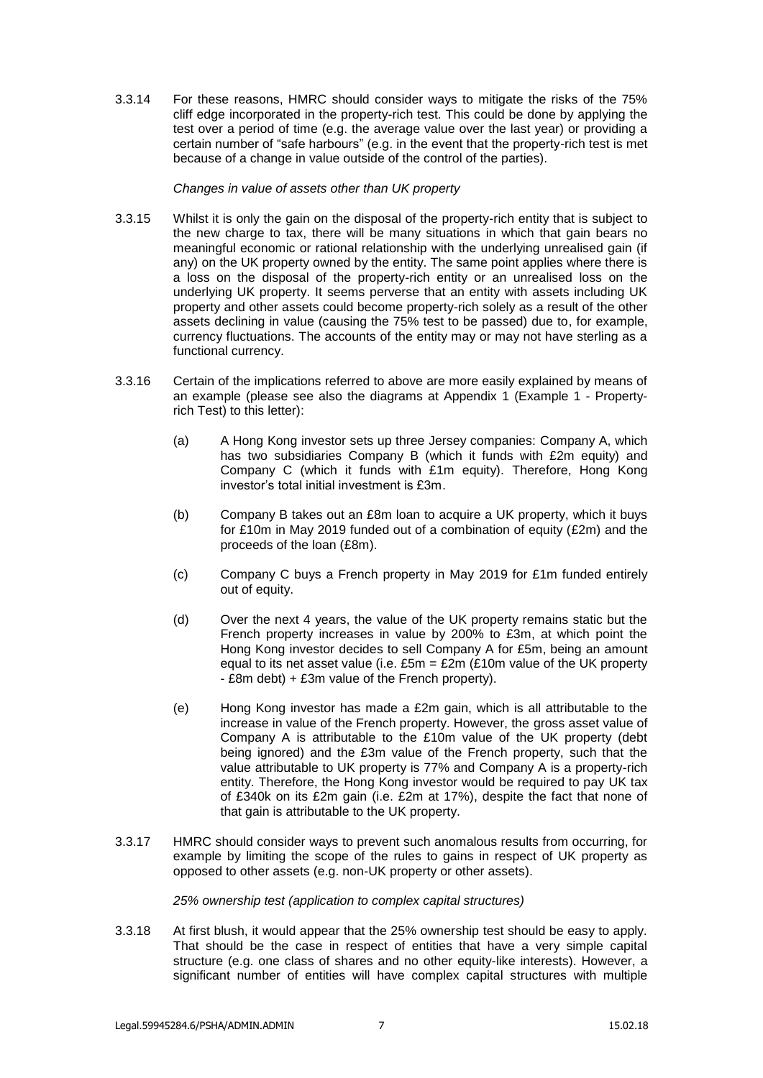3.3.14 For these reasons, HMRC should consider ways to mitigate the risks of the 75% cliff edge incorporated in the property-rich test. This could be done by applying the test over a period of time (e.g. the average value over the last year) or providing a certain number of "safe harbours" (e.g. in the event that the property-rich test is met because of a change in value outside of the control of the parties).

# *Changes in value of assets other than UK property*

- 3.3.15 Whilst it is only the gain on the disposal of the property-rich entity that is subject to the new charge to tax, there will be many situations in which that gain bears no meaningful economic or rational relationship with the underlying unrealised gain (if any) on the UK property owned by the entity. The same point applies where there is a loss on the disposal of the property-rich entity or an unrealised loss on the underlying UK property. It seems perverse that an entity with assets including UK property and other assets could become property-rich solely as a result of the other assets declining in value (causing the 75% test to be passed) due to, for example, currency fluctuations. The accounts of the entity may or may not have sterling as a functional currency.
- <span id="page-6-0"></span>3.3.16 Certain of the implications referred to above are more easily explained by means of an example (please see also the diagrams at Appendix 1 (Example 1 - Propertyrich Test) to this letter):
	- (a) A Hong Kong investor sets up three Jersey companies: Company A, which has two subsidiaries Company B (which it funds with £2m equity) and Company C (which it funds with £1m equity). Therefore, Hong Kong investor's total initial investment is £3m.
	- (b) Company B takes out an £8m loan to acquire a UK property, which it buys for £10m in May 2019 funded out of a combination of equity (£2m) and the proceeds of the loan (£8m).
	- (c) Company C buys a French property in May 2019 for £1m funded entirely out of equity.
	- (d) Over the next 4 years, the value of the UK property remains static but the French property increases in value by 200% to £3m, at which point the Hong Kong investor decides to sell Company A for £5m, being an amount equal to its net asset value (i.e.  $£5m = £2m$  (£10m value of the UK property - £8m debt) + £3m value of the French property).
	- (e) Hong Kong investor has made a £2m gain, which is all attributable to the increase in value of the French property. However, the gross asset value of Company A is attributable to the £10m value of the UK property (debt being ignored) and the £3m value of the French property, such that the value attributable to UK property is 77% and Company A is a property-rich entity. Therefore, the Hong Kong investor would be required to pay UK tax of £340k on its £2m gain (i.e. £2m at 17%), despite the fact that none of that gain is attributable to the UK property.
- 3.3.17 HMRC should consider ways to prevent such anomalous results from occurring, for example by limiting the scope of the rules to gains in respect of UK property as opposed to other assets (e.g. non-UK property or other assets).

### *25% ownership test (application to complex capital structures)*

3.3.18 At first blush, it would appear that the 25% ownership test should be easy to apply. That should be the case in respect of entities that have a very simple capital structure (e.g. one class of shares and no other equity-like interests). However, a significant number of entities will have complex capital structures with multiple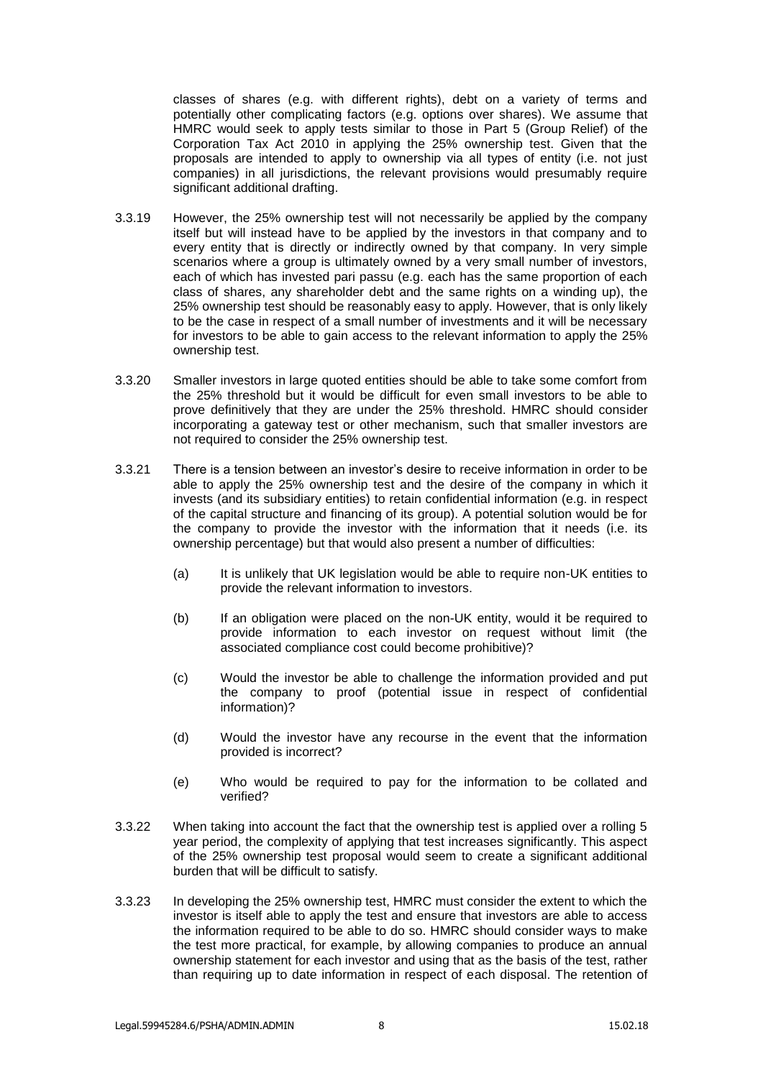classes of shares (e.g. with different rights), debt on a variety of terms and potentially other complicating factors (e.g. options over shares). We assume that HMRC would seek to apply tests similar to those in Part 5 (Group Relief) of the Corporation Tax Act 2010 in applying the 25% ownership test. Given that the proposals are intended to apply to ownership via all types of entity (i.e. not just companies) in all jurisdictions, the relevant provisions would presumably require significant additional drafting.

- 3.3.19 However, the 25% ownership test will not necessarily be applied by the company itself but will instead have to be applied by the investors in that company and to every entity that is directly or indirectly owned by that company. In very simple scenarios where a group is ultimately owned by a very small number of investors, each of which has invested pari passu (e.g. each has the same proportion of each class of shares, any shareholder debt and the same rights on a winding up), the 25% ownership test should be reasonably easy to apply. However, that is only likely to be the case in respect of a small number of investments and it will be necessary for investors to be able to gain access to the relevant information to apply the 25% ownership test.
- 3.3.20 Smaller investors in large quoted entities should be able to take some comfort from the 25% threshold but it would be difficult for even small investors to be able to prove definitively that they are under the 25% threshold. HMRC should consider incorporating a gateway test or other mechanism, such that smaller investors are not required to consider the 25% ownership test.
- 3.3.21 There is a tension between an investor's desire to receive information in order to be able to apply the 25% ownership test and the desire of the company in which it invests (and its subsidiary entities) to retain confidential information (e.g. in respect of the capital structure and financing of its group). A potential solution would be for the company to provide the investor with the information that it needs (i.e. its ownership percentage) but that would also present a number of difficulties:
	- (a) It is unlikely that UK legislation would be able to require non-UK entities to provide the relevant information to investors.
	- (b) If an obligation were placed on the non-UK entity, would it be required to provide information to each investor on request without limit (the associated compliance cost could become prohibitive)?
	- (c) Would the investor be able to challenge the information provided and put the company to proof (potential issue in respect of confidential information)?
	- (d) Would the investor have any recourse in the event that the information provided is incorrect?
	- (e) Who would be required to pay for the information to be collated and verified?
- 3.3.22 When taking into account the fact that the ownership test is applied over a rolling 5 year period, the complexity of applying that test increases significantly. This aspect of the 25% ownership test proposal would seem to create a significant additional burden that will be difficult to satisfy.
- 3.3.23 In developing the 25% ownership test, HMRC must consider the extent to which the investor is itself able to apply the test and ensure that investors are able to access the information required to be able to do so. HMRC should consider ways to make the test more practical, for example, by allowing companies to produce an annual ownership statement for each investor and using that as the basis of the test, rather than requiring up to date information in respect of each disposal. The retention of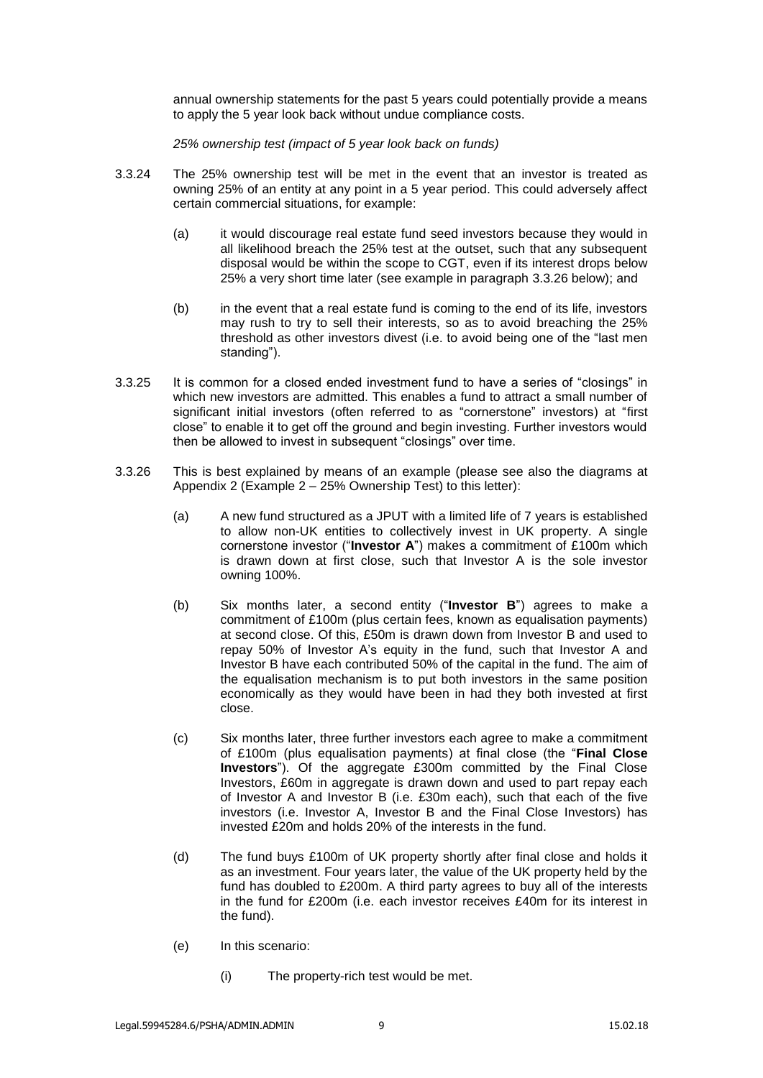annual ownership statements for the past 5 years could potentially provide a means to apply the 5 year look back without undue compliance costs.

*25% ownership test (impact of 5 year look back on funds)*

- 3.3.24 The 25% ownership test will be met in the event that an investor is treated as owning 25% of an entity at any point in a 5 year period. This could adversely affect certain commercial situations, for example:
	- (a) it would discourage real estate fund seed investors because they would in all likelihood breach the 25% test at the outset, such that any subsequent disposal would be within the scope to CGT, even if its interest drops below 25% a very short time later (see example in paragraph [3.3.26](#page-8-0) below); and
	- (b) in the event that a real estate fund is coming to the end of its life, investors may rush to try to sell their interests, so as to avoid breaching the 25% threshold as other investors divest (i.e. to avoid being one of the "last men standing").
- 3.3.25 It is common for a closed ended investment fund to have a series of "closings" in which new investors are admitted. This enables a fund to attract a small number of significant initial investors (often referred to as "cornerstone" investors) at "first close" to enable it to get off the ground and begin investing. Further investors would then be allowed to invest in subsequent "closings" over time.
- <span id="page-8-0"></span>3.3.26 This is best explained by means of an example (please see also the diagrams at Appendix 2 (Example  $2 - 25%$  Ownership Test) to this letter):
	- (a) A new fund structured as a JPUT with a limited life of 7 years is established to allow non-UK entities to collectively invest in UK property. A single cornerstone investor ("**Investor A**") makes a commitment of £100m which is drawn down at first close, such that Investor A is the sole investor owning 100%.
	- (b) Six months later, a second entity ("**Investor B**") agrees to make a commitment of £100m (plus certain fees, known as equalisation payments) at second close. Of this, £50m is drawn down from Investor B and used to repay 50% of Investor A's equity in the fund, such that Investor A and Investor B have each contributed 50% of the capital in the fund. The aim of the equalisation mechanism is to put both investors in the same position economically as they would have been in had they both invested at first close.
	- (c) Six months later, three further investors each agree to make a commitment of £100m (plus equalisation payments) at final close (the "**Final Close Investors**"). Of the aggregate £300m committed by the Final Close Investors, £60m in aggregate is drawn down and used to part repay each of Investor A and Investor B (i.e. £30m each), such that each of the five investors (i.e. Investor A, Investor B and the Final Close Investors) has invested £20m and holds 20% of the interests in the fund.
	- (d) The fund buys £100m of UK property shortly after final close and holds it as an investment. Four years later, the value of the UK property held by the fund has doubled to £200m. A third party agrees to buy all of the interests in the fund for £200m (i.e. each investor receives £40m for its interest in the fund).
	- (e) In this scenario:
		- (i) The property-rich test would be met.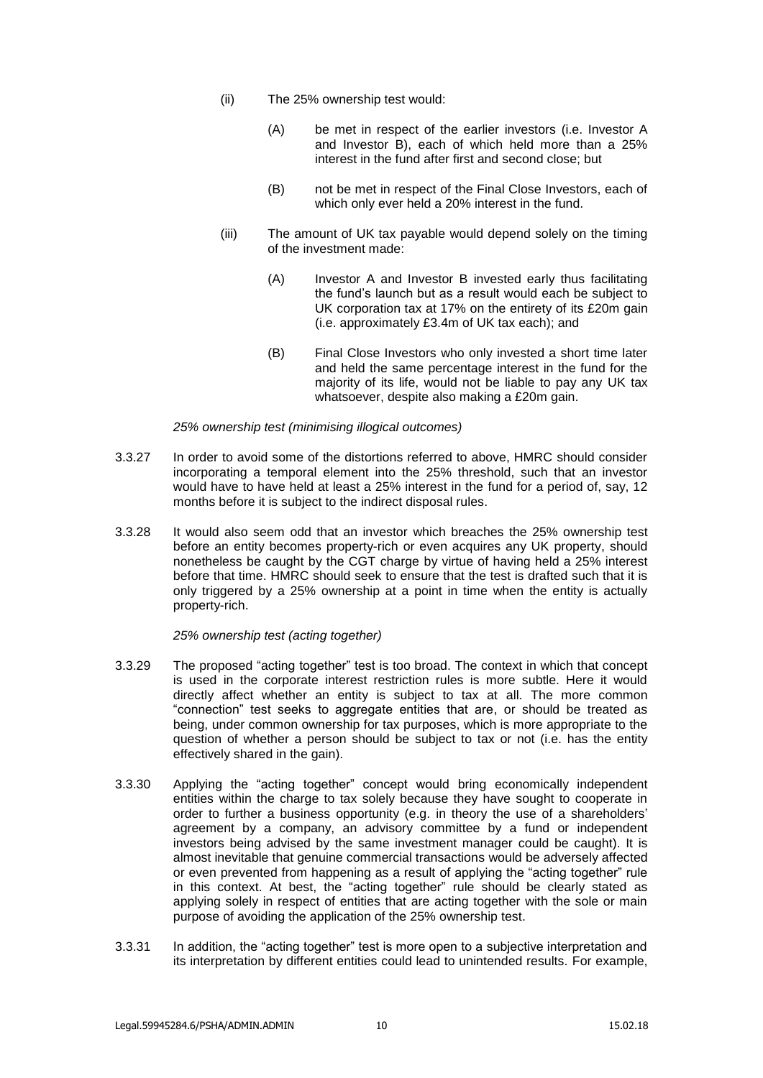- (ii) The 25% ownership test would:
	- (A) be met in respect of the earlier investors (i.e. Investor A and Investor B), each of which held more than a 25% interest in the fund after first and second close; but
	- (B) not be met in respect of the Final Close Investors, each of which only ever held a 20% interest in the fund.
- (iii) The amount of UK tax payable would depend solely on the timing of the investment made:
	- (A) Investor A and Investor B invested early thus facilitating the fund's launch but as a result would each be subject to UK corporation tax at 17% on the entirety of its £20m gain (i.e. approximately £3.4m of UK tax each); and
	- (B) Final Close Investors who only invested a short time later and held the same percentage interest in the fund for the majority of its life, would not be liable to pay any UK tax whatsoever, despite also making a £20m gain.

### *25% ownership test (minimising illogical outcomes)*

- 3.3.27 In order to avoid some of the distortions referred to above, HMRC should consider incorporating a temporal element into the 25% threshold, such that an investor would have to have held at least a 25% interest in the fund for a period of, say, 12 months before it is subject to the indirect disposal rules.
- 3.3.28 It would also seem odd that an investor which breaches the 25% ownership test before an entity becomes property-rich or even acquires any UK property, should nonetheless be caught by the CGT charge by virtue of having held a 25% interest before that time. HMRC should seek to ensure that the test is drafted such that it is only triggered by a 25% ownership at a point in time when the entity is actually property-rich.

#### *25% ownership test (acting together)*

- 3.3.29 The proposed "acting together" test is too broad. The context in which that concept is used in the corporate interest restriction rules is more subtle. Here it would directly affect whether an entity is subject to tax at all. The more common "connection" test seeks to aggregate entities that are, or should be treated as being, under common ownership for tax purposes, which is more appropriate to the question of whether a person should be subject to tax or not (i.e. has the entity effectively shared in the gain).
- 3.3.30 Applying the "acting together" concept would bring economically independent entities within the charge to tax solely because they have sought to cooperate in order to further a business opportunity (e.g. in theory the use of a shareholders' agreement by a company, an advisory committee by a fund or independent investors being advised by the same investment manager could be caught). It is almost inevitable that genuine commercial transactions would be adversely affected or even prevented from happening as a result of applying the "acting together" rule in this context. At best, the "acting together" rule should be clearly stated as applying solely in respect of entities that are acting together with the sole or main purpose of avoiding the application of the 25% ownership test.
- 3.3.31 In addition, the "acting together" test is more open to a subjective interpretation and its interpretation by different entities could lead to unintended results. For example,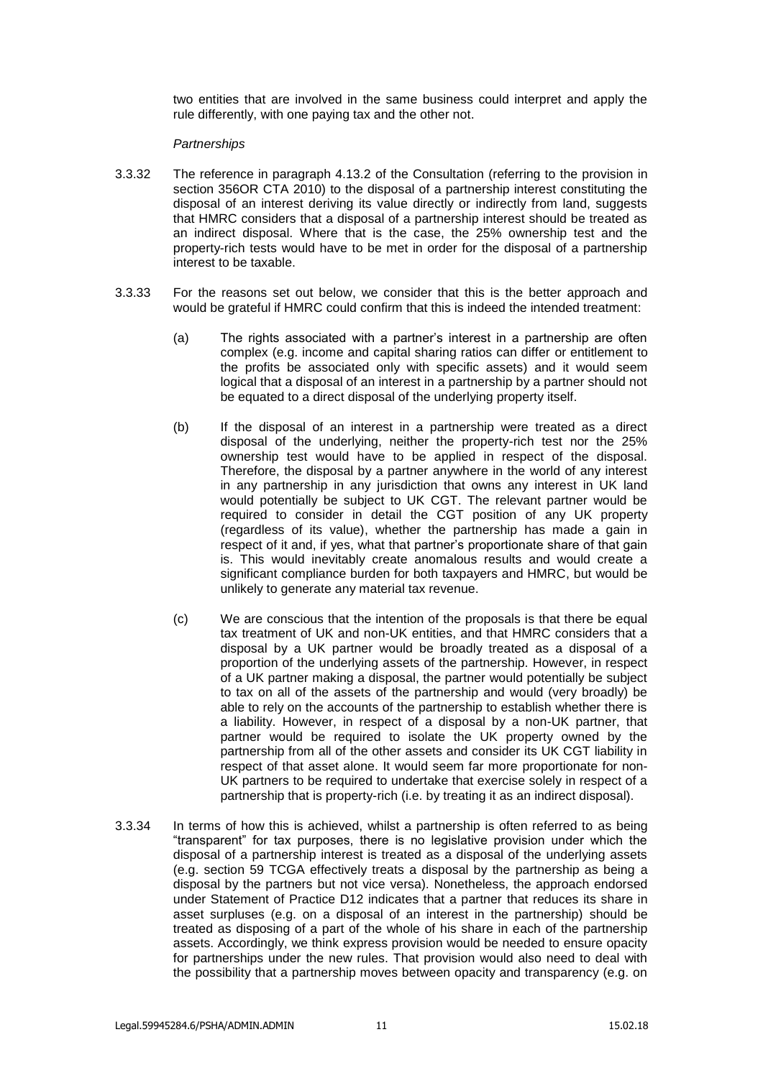two entities that are involved in the same business could interpret and apply the rule differently, with one paying tax and the other not.

### *Partnerships*

- 3.3.32 The reference in paragraph 4.13.2 of the Consultation (referring to the provision in section 356OR CTA 2010) to the disposal of a partnership interest constituting the disposal of an interest deriving its value directly or indirectly from land, suggests that HMRC considers that a disposal of a partnership interest should be treated as an indirect disposal. Where that is the case, the 25% ownership test and the property-rich tests would have to be met in order for the disposal of a partnership interest to be taxable.
- 3.3.33 For the reasons set out below, we consider that this is the better approach and would be grateful if HMRC could confirm that this is indeed the intended treatment:
	- (a) The rights associated with a partner's interest in a partnership are often complex (e.g. income and capital sharing ratios can differ or entitlement to the profits be associated only with specific assets) and it would seem logical that a disposal of an interest in a partnership by a partner should not be equated to a direct disposal of the underlying property itself.
	- (b) If the disposal of an interest in a partnership were treated as a direct disposal of the underlying, neither the property-rich test nor the 25% ownership test would have to be applied in respect of the disposal. Therefore, the disposal by a partner anywhere in the world of any interest in any partnership in any jurisdiction that owns any interest in UK land would potentially be subject to UK CGT. The relevant partner would be required to consider in detail the CGT position of any UK property (regardless of its value), whether the partnership has made a gain in respect of it and, if yes, what that partner's proportionate share of that gain is. This would inevitably create anomalous results and would create a significant compliance burden for both taxpayers and HMRC, but would be unlikely to generate any material tax revenue.
	- (c) We are conscious that the intention of the proposals is that there be equal tax treatment of UK and non-UK entities, and that HMRC considers that a disposal by a UK partner would be broadly treated as a disposal of a proportion of the underlying assets of the partnership. However, in respect of a UK partner making a disposal, the partner would potentially be subject to tax on all of the assets of the partnership and would (very broadly) be able to rely on the accounts of the partnership to establish whether there is a liability. However, in respect of a disposal by a non-UK partner, that partner would be required to isolate the UK property owned by the partnership from all of the other assets and consider its UK CGT liability in respect of that asset alone. It would seem far more proportionate for non-UK partners to be required to undertake that exercise solely in respect of a partnership that is property-rich (i.e. by treating it as an indirect disposal).
- 3.3.34 In terms of how this is achieved, whilst a partnership is often referred to as being "transparent" for tax purposes, there is no legislative provision under which the disposal of a partnership interest is treated as a disposal of the underlying assets (e.g. section 59 TCGA effectively treats a disposal by the partnership as being a disposal by the partners but not vice versa). Nonetheless, the approach endorsed under Statement of Practice D12 indicates that a partner that reduces its share in asset surpluses (e.g. on a disposal of an interest in the partnership) should be treated as disposing of a part of the whole of his share in each of the partnership assets. Accordingly, we think express provision would be needed to ensure opacity for partnerships under the new rules. That provision would also need to deal with the possibility that a partnership moves between opacity and transparency (e.g. on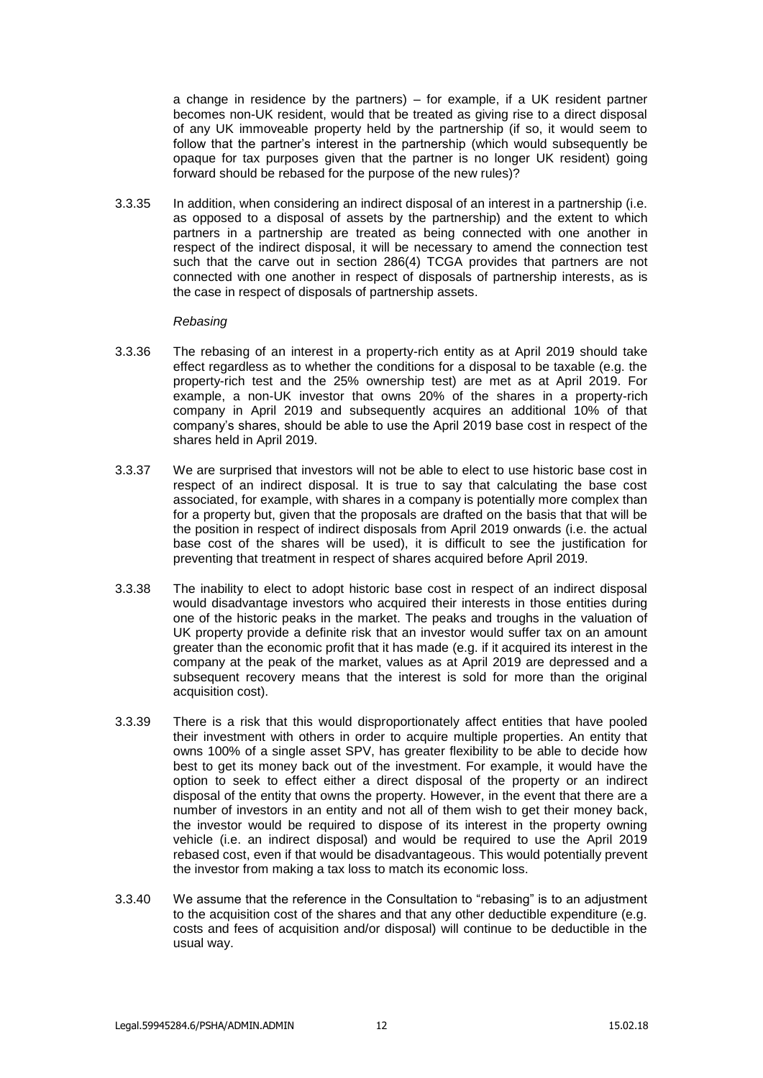a change in residence by the partners) – for example, if a UK resident partner becomes non-UK resident, would that be treated as giving rise to a direct disposal of any UK immoveable property held by the partnership (if so, it would seem to follow that the partner's interest in the partnership (which would subsequently be opaque for tax purposes given that the partner is no longer UK resident) going forward should be rebased for the purpose of the new rules)?

3.3.35 In addition, when considering an indirect disposal of an interest in a partnership (i.e. as opposed to a disposal of assets by the partnership) and the extent to which partners in a partnership are treated as being connected with one another in respect of the indirect disposal, it will be necessary to amend the connection test such that the carve out in section 286(4) TCGA provides that partners are not connected with one another in respect of disposals of partnership interests, as is the case in respect of disposals of partnership assets.

### *Rebasing*

- 3.3.36 The rebasing of an interest in a property-rich entity as at April 2019 should take effect regardless as to whether the conditions for a disposal to be taxable (e.g. the property-rich test and the 25% ownership test) are met as at April 2019. For example, a non-UK investor that owns 20% of the shares in a property-rich company in April 2019 and subsequently acquires an additional 10% of that company's shares, should be able to use the April 2019 base cost in respect of the shares held in April 2019.
- 3.3.37 We are surprised that investors will not be able to elect to use historic base cost in respect of an indirect disposal. It is true to say that calculating the base cost associated, for example, with shares in a company is potentially more complex than for a property but, given that the proposals are drafted on the basis that that will be the position in respect of indirect disposals from April 2019 onwards (i.e. the actual base cost of the shares will be used), it is difficult to see the justification for preventing that treatment in respect of shares acquired before April 2019.
- 3.3.38 The inability to elect to adopt historic base cost in respect of an indirect disposal would disadvantage investors who acquired their interests in those entities during one of the historic peaks in the market. The peaks and troughs in the valuation of UK property provide a definite risk that an investor would suffer tax on an amount greater than the economic profit that it has made (e.g. if it acquired its interest in the company at the peak of the market, values as at April 2019 are depressed and a subsequent recovery means that the interest is sold for more than the original acquisition cost).
- 3.3.39 There is a risk that this would disproportionately affect entities that have pooled their investment with others in order to acquire multiple properties. An entity that owns 100% of a single asset SPV, has greater flexibility to be able to decide how best to get its money back out of the investment. For example, it would have the option to seek to effect either a direct disposal of the property or an indirect disposal of the entity that owns the property. However, in the event that there are a number of investors in an entity and not all of them wish to get their money back, the investor would be required to dispose of its interest in the property owning vehicle (i.e. an indirect disposal) and would be required to use the April 2019 rebased cost, even if that would be disadvantageous. This would potentially prevent the investor from making a tax loss to match its economic loss.
- 3.3.40 We assume that the reference in the Consultation to "rebasing" is to an adjustment to the acquisition cost of the shares and that any other deductible expenditure (e.g. costs and fees of acquisition and/or disposal) will continue to be deductible in the usual way.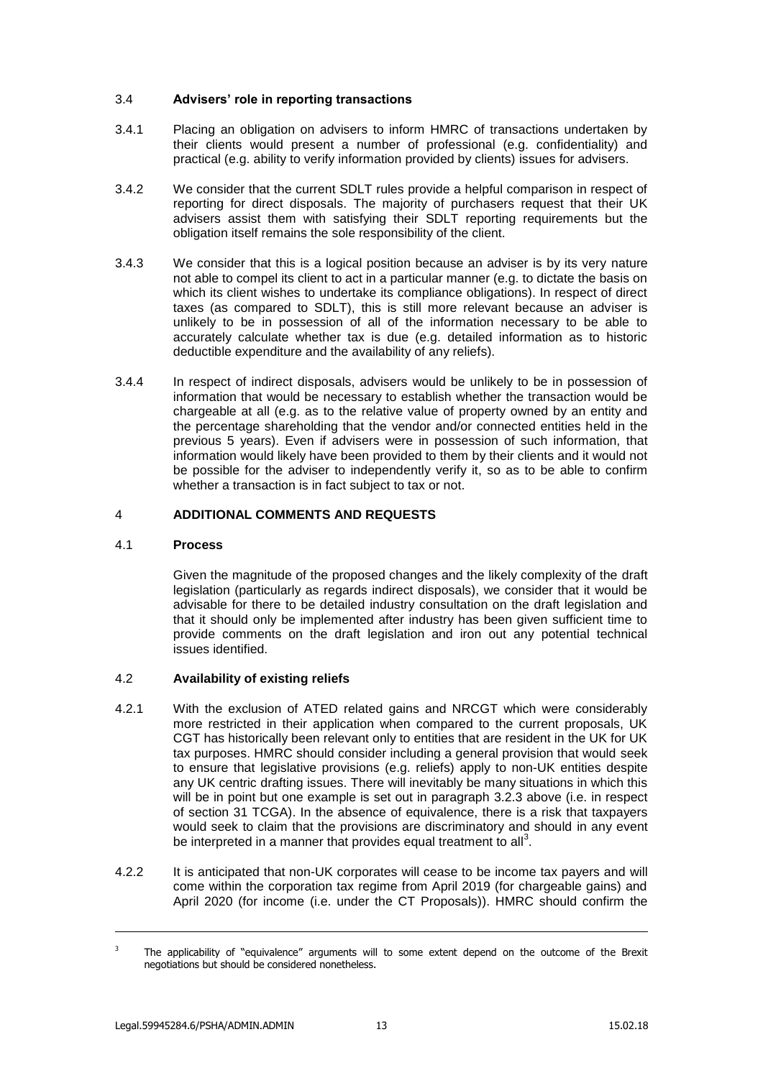# 3.4 **Advisers' role in reporting transactions**

- 3.4.1 Placing an obligation on advisers to inform HMRC of transactions undertaken by their clients would present a number of professional (e.g. confidentiality) and practical (e.g. ability to verify information provided by clients) issues for advisers.
- 3.4.2 We consider that the current SDLT rules provide a helpful comparison in respect of reporting for direct disposals. The majority of purchasers request that their UK advisers assist them with satisfying their SDLT reporting requirements but the obligation itself remains the sole responsibility of the client.
- 3.4.3 We consider that this is a logical position because an adviser is by its very nature not able to compel its client to act in a particular manner (e.g. to dictate the basis on which its client wishes to undertake its compliance obligations). In respect of direct taxes (as compared to SDLT), this is still more relevant because an adviser is unlikely to be in possession of all of the information necessary to be able to accurately calculate whether tax is due (e.g. detailed information as to historic deductible expenditure and the availability of any reliefs).
- 3.4.4 In respect of indirect disposals, advisers would be unlikely to be in possession of information that would be necessary to establish whether the transaction would be chargeable at all (e.g. as to the relative value of property owned by an entity and the percentage shareholding that the vendor and/or connected entities held in the previous 5 years). Even if advisers were in possession of such information, that information would likely have been provided to them by their clients and it would not be possible for the adviser to independently verify it, so as to be able to confirm whether a transaction is in fact subject to tax or not.

## 4 **ADDITIONAL COMMENTS AND REQUESTS**

# 4.1 **Process**

Given the magnitude of the proposed changes and the likely complexity of the draft legislation (particularly as regards indirect disposals), we consider that it would be advisable for there to be detailed industry consultation on the draft legislation and that it should only be implemented after industry has been given sufficient time to provide comments on the draft legislation and iron out any potential technical issues identified.

# 4.2 **Availability of existing reliefs**

- 4.2.1 With the exclusion of ATED related gains and NRCGT which were considerably more restricted in their application when compared to the current proposals, UK CGT has historically been relevant only to entities that are resident in the UK for UK tax purposes. HMRC should consider including a general provision that would seek to ensure that legislative provisions (e.g. reliefs) apply to non-UK entities despite any UK centric drafting issues. There will inevitably be many situations in which this will be in point but one example is set out in paragraph [3.2.3](#page-3-0) above (i.e. in respect of section 31 TCGA). In the absence of equivalence, there is a risk that taxpayers would seek to claim that the provisions are discriminatory and should in any event be interpreted in a manner that provides equal treatment to all<sup>3</sup>.
- 4.2.2 It is anticipated that non-UK corporates will cease to be income tax payers and will come within the corporation tax regime from April 2019 (for chargeable gains) and April 2020 (for income (i.e. under the CT Proposals)). HMRC should confirm the

-

 $3$  The applicability of "equivalence" arguments will to some extent depend on the outcome of the Brexit negotiations but should be considered nonetheless.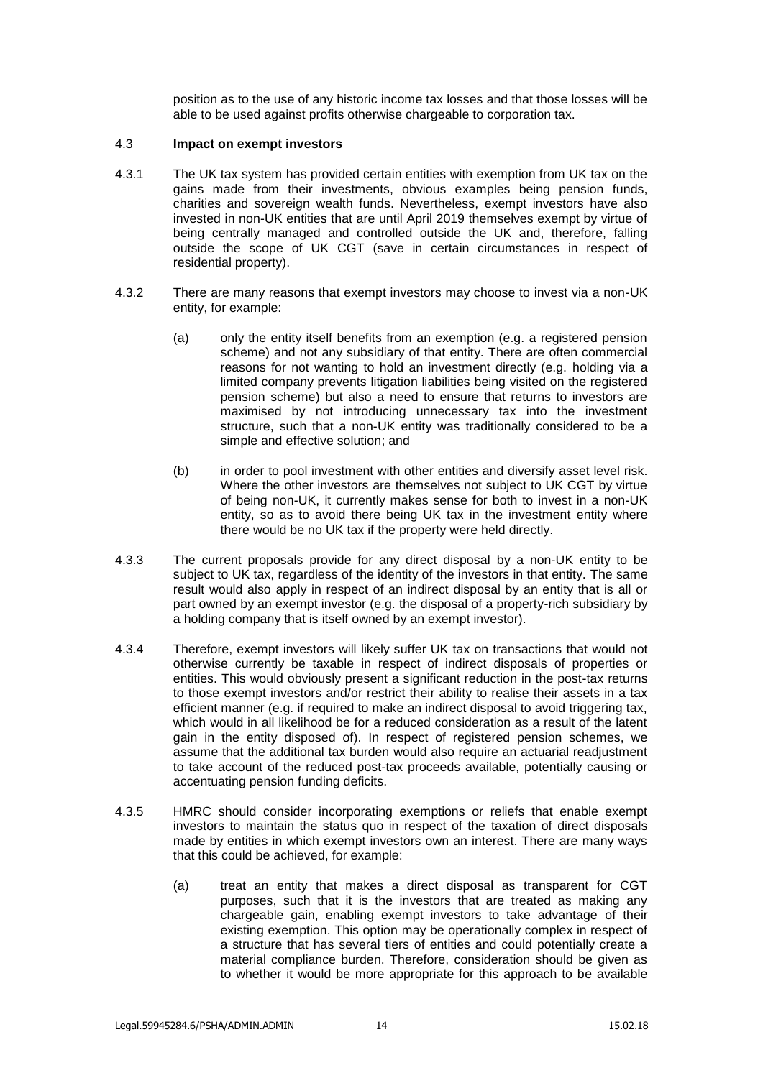position as to the use of any historic income tax losses and that those losses will be able to be used against profits otherwise chargeable to corporation tax.

### <span id="page-13-0"></span>4.3 **Impact on exempt investors**

- 4.3.1 The UK tax system has provided certain entities with exemption from UK tax on the gains made from their investments, obvious examples being pension funds, charities and sovereign wealth funds. Nevertheless, exempt investors have also invested in non-UK entities that are until April 2019 themselves exempt by virtue of being centrally managed and controlled outside the UK and, therefore, falling outside the scope of UK CGT (save in certain circumstances in respect of residential property).
- 4.3.2 There are many reasons that exempt investors may choose to invest via a non-UK entity, for example:
	- (a) only the entity itself benefits from an exemption (e.g. a registered pension scheme) and not any subsidiary of that entity. There are often commercial reasons for not wanting to hold an investment directly (e.g. holding via a limited company prevents litigation liabilities being visited on the registered pension scheme) but also a need to ensure that returns to investors are maximised by not introducing unnecessary tax into the investment structure, such that a non-UK entity was traditionally considered to be a simple and effective solution; and
	- (b) in order to pool investment with other entities and diversify asset level risk. Where the other investors are themselves not subject to UK CGT by virtue of being non-UK, it currently makes sense for both to invest in a non-UK entity, so as to avoid there being UK tax in the investment entity where there would be no UK tax if the property were held directly.
- 4.3.3 The current proposals provide for any direct disposal by a non-UK entity to be subject to UK tax, regardless of the identity of the investors in that entity. The same result would also apply in respect of an indirect disposal by an entity that is all or part owned by an exempt investor (e.g. the disposal of a property-rich subsidiary by a holding company that is itself owned by an exempt investor).
- 4.3.4 Therefore, exempt investors will likely suffer UK tax on transactions that would not otherwise currently be taxable in respect of indirect disposals of properties or entities. This would obviously present a significant reduction in the post-tax returns to those exempt investors and/or restrict their ability to realise their assets in a tax efficient manner (e.g. if required to make an indirect disposal to avoid triggering tax, which would in all likelihood be for a reduced consideration as a result of the latent gain in the entity disposed of). In respect of registered pension schemes, we assume that the additional tax burden would also require an actuarial readjustment to take account of the reduced post-tax proceeds available, potentially causing or accentuating pension funding deficits.
- <span id="page-13-1"></span>4.3.5 HMRC should consider incorporating exemptions or reliefs that enable exempt investors to maintain the status quo in respect of the taxation of direct disposals made by entities in which exempt investors own an interest. There are many ways that this could be achieved, for example:
	- (a) treat an entity that makes a direct disposal as transparent for CGT purposes, such that it is the investors that are treated as making any chargeable gain, enabling exempt investors to take advantage of their existing exemption. This option may be operationally complex in respect of a structure that has several tiers of entities and could potentially create a material compliance burden. Therefore, consideration should be given as to whether it would be more appropriate for this approach to be available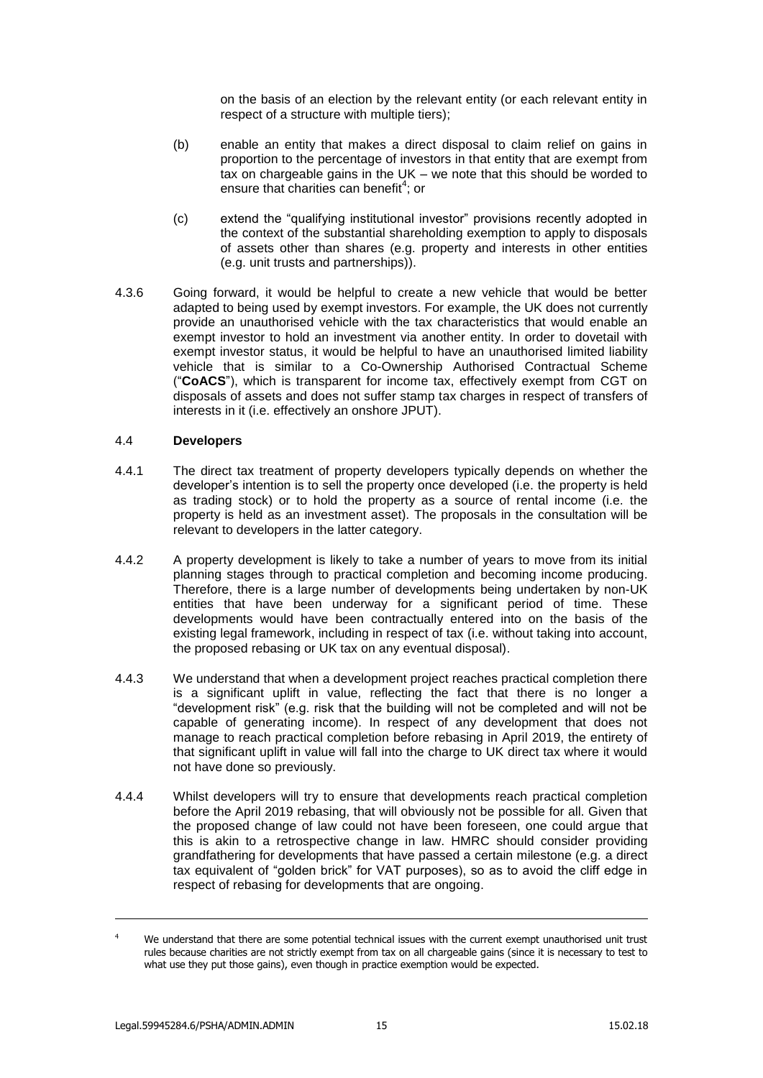on the basis of an election by the relevant entity (or each relevant entity in respect of a structure with multiple tiers);

- (b) enable an entity that makes a direct disposal to claim relief on gains in proportion to the percentage of investors in that entity that are exempt from tax on chargeable gains in the UK – we note that this should be worded to ensure that charities can benefit<sup>4</sup>; or
- (c) extend the "qualifying institutional investor" provisions recently adopted in the context of the substantial shareholding exemption to apply to disposals of assets other than shares (e.g. property and interests in other entities (e.g. unit trusts and partnerships)).
- 4.3.6 Going forward, it would be helpful to create a new vehicle that would be better adapted to being used by exempt investors. For example, the UK does not currently provide an unauthorised vehicle with the tax characteristics that would enable an exempt investor to hold an investment via another entity. In order to dovetail with exempt investor status, it would be helpful to have an unauthorised limited liability vehicle that is similar to a Co-Ownership Authorised Contractual Scheme ("**CoACS**"), which is transparent for income tax, effectively exempt from CGT on disposals of assets and does not suffer stamp tax charges in respect of transfers of interests in it (i.e. effectively an onshore JPUT).

## 4.4 **Developers**

- 4.4.1 The direct tax treatment of property developers typically depends on whether the developer's intention is to sell the property once developed (i.e. the property is held as trading stock) or to hold the property as a source of rental income (i.e. the property is held as an investment asset). The proposals in the consultation will be relevant to developers in the latter category.
- 4.4.2 A property development is likely to take a number of years to move from its initial planning stages through to practical completion and becoming income producing. Therefore, there is a large number of developments being undertaken by non-UK entities that have been underway for a significant period of time. These developments would have been contractually entered into on the basis of the existing legal framework, including in respect of tax (i.e. without taking into account, the proposed rebasing or UK tax on any eventual disposal).
- 4.4.3 We understand that when a development project reaches practical completion there is a significant uplift in value, reflecting the fact that there is no longer a "development risk" (e.g. risk that the building will not be completed and will not be capable of generating income). In respect of any development that does not manage to reach practical completion before rebasing in April 2019, the entirety of that significant uplift in value will fall into the charge to UK direct tax where it would not have done so previously.
- 4.4.4 Whilst developers will try to ensure that developments reach practical completion before the April 2019 rebasing, that will obviously not be possible for all. Given that the proposed change of law could not have been foreseen, one could argue that this is akin to a retrospective change in law. HMRC should consider providing grandfathering for developments that have passed a certain milestone (e.g. a direct tax equivalent of "golden brick" for VAT purposes), so as to avoid the cliff edge in respect of rebasing for developments that are ongoing.

-

We understand that there are some potential technical issues with the current exempt unauthorised unit trust rules because charities are not strictly exempt from tax on all chargeable gains (since it is necessary to test to what use they put those gains), even though in practice exemption would be expected.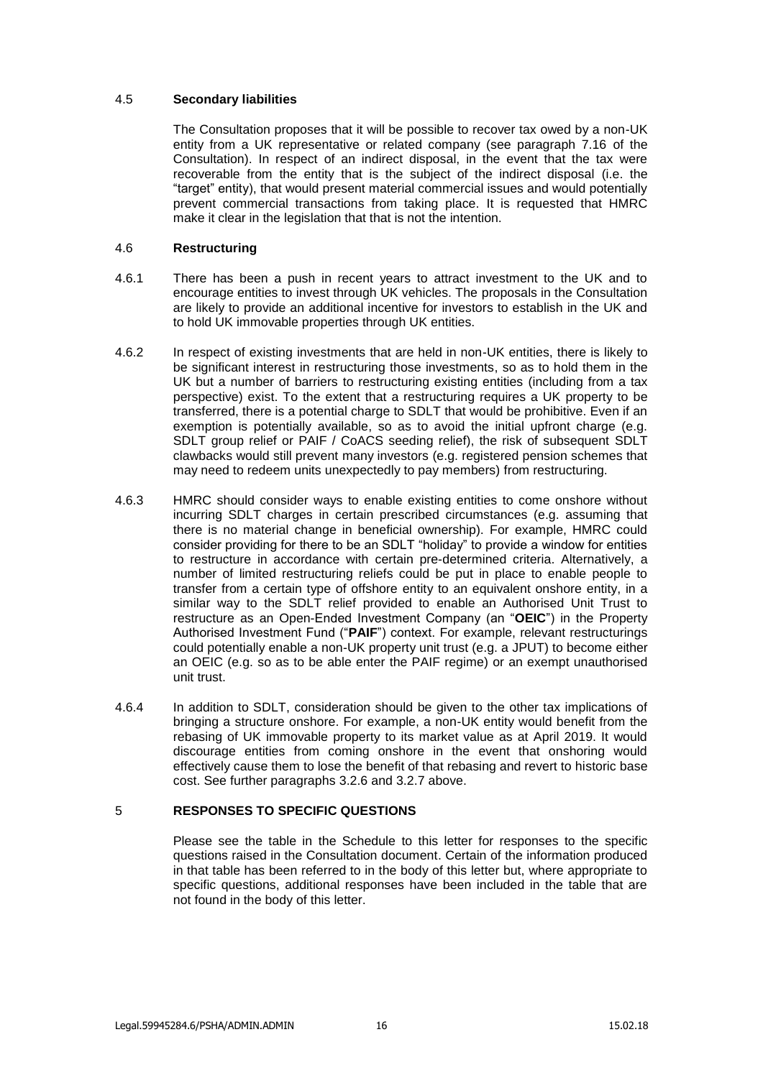## 4.5 **Secondary liabilities**

The Consultation proposes that it will be possible to recover tax owed by a non-UK entity from a UK representative or related company (see paragraph 7.16 of the Consultation). In respect of an indirect disposal, in the event that the tax were recoverable from the entity that is the subject of the indirect disposal (i.e. the "target" entity), that would present material commercial issues and would potentially prevent commercial transactions from taking place. It is requested that HMRC make it clear in the legislation that that is not the intention.

## 4.6 **Restructuring**

- 4.6.1 There has been a push in recent years to attract investment to the UK and to encourage entities to invest through UK vehicles. The proposals in the Consultation are likely to provide an additional incentive for investors to establish in the UK and to hold UK immovable properties through UK entities.
- 4.6.2 In respect of existing investments that are held in non-UK entities, there is likely to be significant interest in restructuring those investments, so as to hold them in the UK but a number of barriers to restructuring existing entities (including from a tax perspective) exist. To the extent that a restructuring requires a UK property to be transferred, there is a potential charge to SDLT that would be prohibitive. Even if an exemption is potentially available, so as to avoid the initial upfront charge (e.g. SDLT group relief or PAIF / CoACS seeding relief), the risk of subsequent SDLT clawbacks would still prevent many investors (e.g. registered pension schemes that may need to redeem units unexpectedly to pay members) from restructuring.
- 4.6.3 HMRC should consider ways to enable existing entities to come onshore without incurring SDLT charges in certain prescribed circumstances (e.g. assuming that there is no material change in beneficial ownership). For example, HMRC could consider providing for there to be an SDLT "holiday" to provide a window for entities to restructure in accordance with certain pre-determined criteria. Alternatively, a number of limited restructuring reliefs could be put in place to enable people to transfer from a certain type of offshore entity to an equivalent onshore entity, in a similar way to the SDLT relief provided to enable an Authorised Unit Trust to restructure as an Open-Ended Investment Company (an "**OEIC**") in the Property Authorised Investment Fund ("**PAIF**") context. For example, relevant restructurings could potentially enable a non-UK property unit trust (e.g. a JPUT) to become either an OEIC (e.g. so as to be able enter the PAIF regime) or an exempt unauthorised unit trust.
- 4.6.4 In addition to SDLT, consideration should be given to the other tax implications of bringing a structure onshore. For example, a non-UK entity would benefit from the rebasing of UK immovable property to its market value as at April 2019. It would discourage entities from coming onshore in the event that onshoring would effectively cause them to lose the benefit of that rebasing and revert to historic base cost. See further paragraphs [3.2.6](#page-3-1) and [3.2.7](#page-3-2) above.

# 5 **RESPONSES TO SPECIFIC QUESTIONS**

Please see the table in the Schedule to this letter for responses to the specific questions raised in the Consultation document. Certain of the information produced in that table has been referred to in the body of this letter but, where appropriate to specific questions, additional responses have been included in the table that are not found in the body of this letter.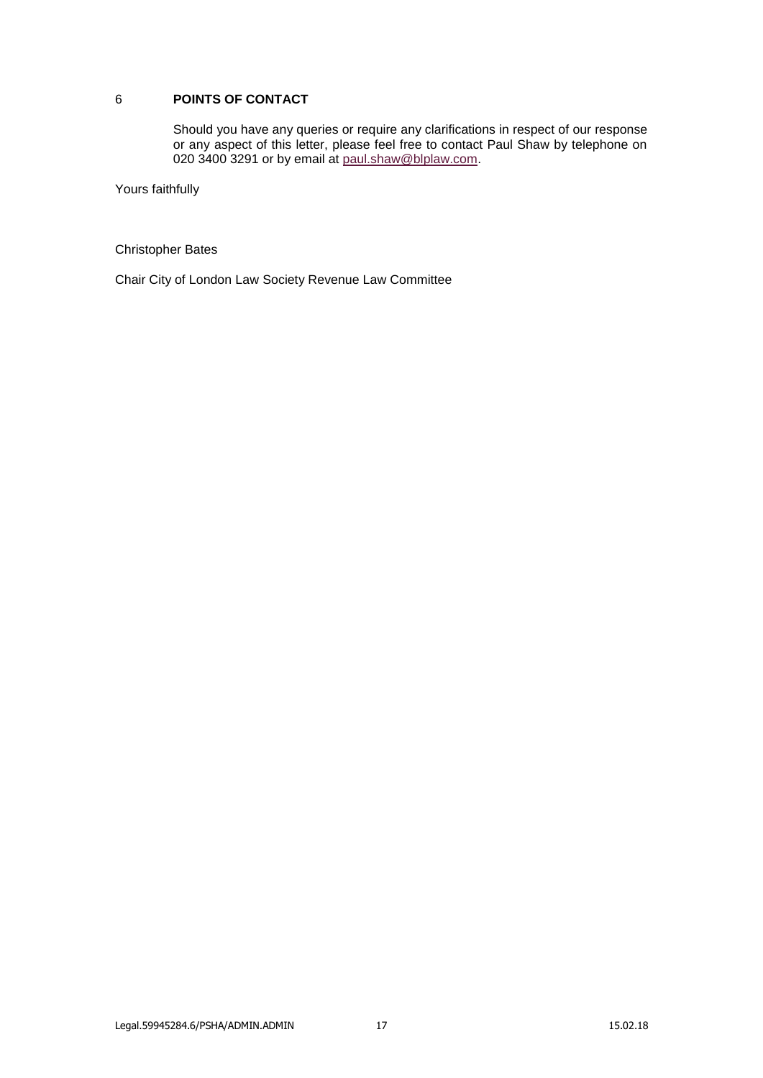# 6 **POINTS OF CONTACT**

Should you have any queries or require any clarifications in respect of our response or any aspect of this letter, please feel free to contact Paul Shaw by telephone on 020 3400 3291 or by email at [paul.shaw@blplaw.com.](mailto:paul.shaw@blplaw.com)

Yours faithfully

Christopher Bates

Chair City of London Law Society Revenue Law Committee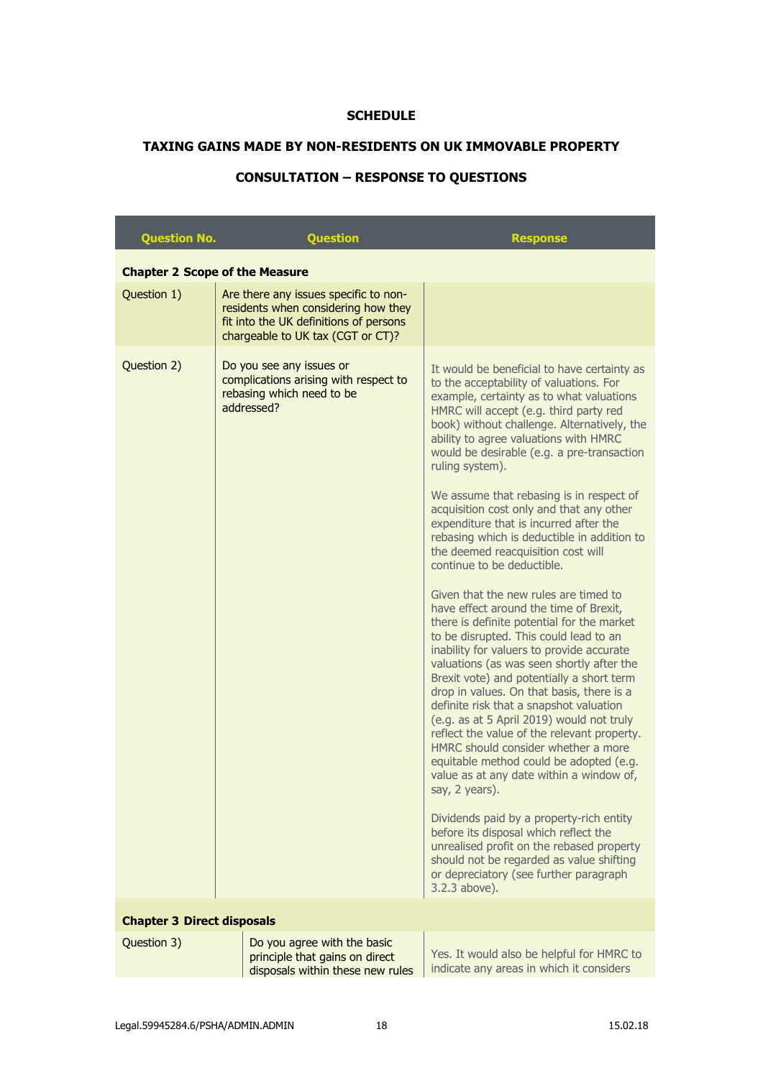# **SCHEDULE**

# **TAXING GAINS MADE BY NON-RESIDENTS ON UK IMMOVABLE PROPERTY**

# **CONSULTATION – RESPONSE TO QUESTIONS**

| <b>Question No.</b>                   | <b>Question</b>                                                                                                                                             | <b>Response</b>                                                                                                                                                                                                                                                                                                                                                                                                                                                                                                                                                                                                                                                                                                                                                                                                                                                                                                                                                                                                                                                                                                                                                                                                                                                                                                                                                                                                                                                                           |  |  |
|---------------------------------------|-------------------------------------------------------------------------------------------------------------------------------------------------------------|-------------------------------------------------------------------------------------------------------------------------------------------------------------------------------------------------------------------------------------------------------------------------------------------------------------------------------------------------------------------------------------------------------------------------------------------------------------------------------------------------------------------------------------------------------------------------------------------------------------------------------------------------------------------------------------------------------------------------------------------------------------------------------------------------------------------------------------------------------------------------------------------------------------------------------------------------------------------------------------------------------------------------------------------------------------------------------------------------------------------------------------------------------------------------------------------------------------------------------------------------------------------------------------------------------------------------------------------------------------------------------------------------------------------------------------------------------------------------------------------|--|--|
| <b>Chapter 2 Scope of the Measure</b> |                                                                                                                                                             |                                                                                                                                                                                                                                                                                                                                                                                                                                                                                                                                                                                                                                                                                                                                                                                                                                                                                                                                                                                                                                                                                                                                                                                                                                                                                                                                                                                                                                                                                           |  |  |
| Question 1)                           | Are there any issues specific to non-<br>residents when considering how they<br>fit into the UK definitions of persons<br>chargeable to UK tax (CGT or CT)? |                                                                                                                                                                                                                                                                                                                                                                                                                                                                                                                                                                                                                                                                                                                                                                                                                                                                                                                                                                                                                                                                                                                                                                                                                                                                                                                                                                                                                                                                                           |  |  |
| Question 2)                           | Do you see any issues or<br>complications arising with respect to<br>rebasing which need to be<br>addressed?                                                | It would be beneficial to have certainty as<br>to the acceptability of valuations. For<br>example, certainty as to what valuations<br>HMRC will accept (e.g. third party red<br>book) without challenge. Alternatively, the<br>ability to agree valuations with HMRC<br>would be desirable (e.g. a pre-transaction<br>ruling system).<br>We assume that rebasing is in respect of<br>acquisition cost only and that any other<br>expenditure that is incurred after the<br>rebasing which is deductible in addition to<br>the deemed reacquisition cost will<br>continue to be deductible.<br>Given that the new rules are timed to<br>have effect around the time of Brexit,<br>there is definite potential for the market<br>to be disrupted. This could lead to an<br>inability for valuers to provide accurate<br>valuations (as was seen shortly after the<br>Brexit vote) and potentially a short term<br>drop in values. On that basis, there is a<br>definite risk that a snapshot valuation<br>(e.g. as at 5 April 2019) would not truly<br>reflect the value of the relevant property.<br>HMRC should consider whether a more<br>equitable method could be adopted (e.g.<br>value as at any date within a window of,<br>say, 2 years).<br>Dividends paid by a property-rich entity<br>before its disposal which reflect the<br>unrealised profit on the rebased property<br>should not be regarded as value shifting<br>or depreciatory (see further paragraph<br>3.2.3 above). |  |  |
| <b>Chapter 3 Direct disposals</b>     |                                                                                                                                                             |                                                                                                                                                                                                                                                                                                                                                                                                                                                                                                                                                                                                                                                                                                                                                                                                                                                                                                                                                                                                                                                                                                                                                                                                                                                                                                                                                                                                                                                                                           |  |  |
| Question 3)                           | Do you agree with the basic                                                                                                                                 |                                                                                                                                                                                                                                                                                                                                                                                                                                                                                                                                                                                                                                                                                                                                                                                                                                                                                                                                                                                                                                                                                                                                                                                                                                                                                                                                                                                                                                                                                           |  |  |
|                                       | principle that gains on direct<br>disposals within these new rules                                                                                          | Yes. It would also be helpful for HMRC to<br>indicate any areas in which it considers                                                                                                                                                                                                                                                                                                                                                                                                                                                                                                                                                                                                                                                                                                                                                                                                                                                                                                                                                                                                                                                                                                                                                                                                                                                                                                                                                                                                     |  |  |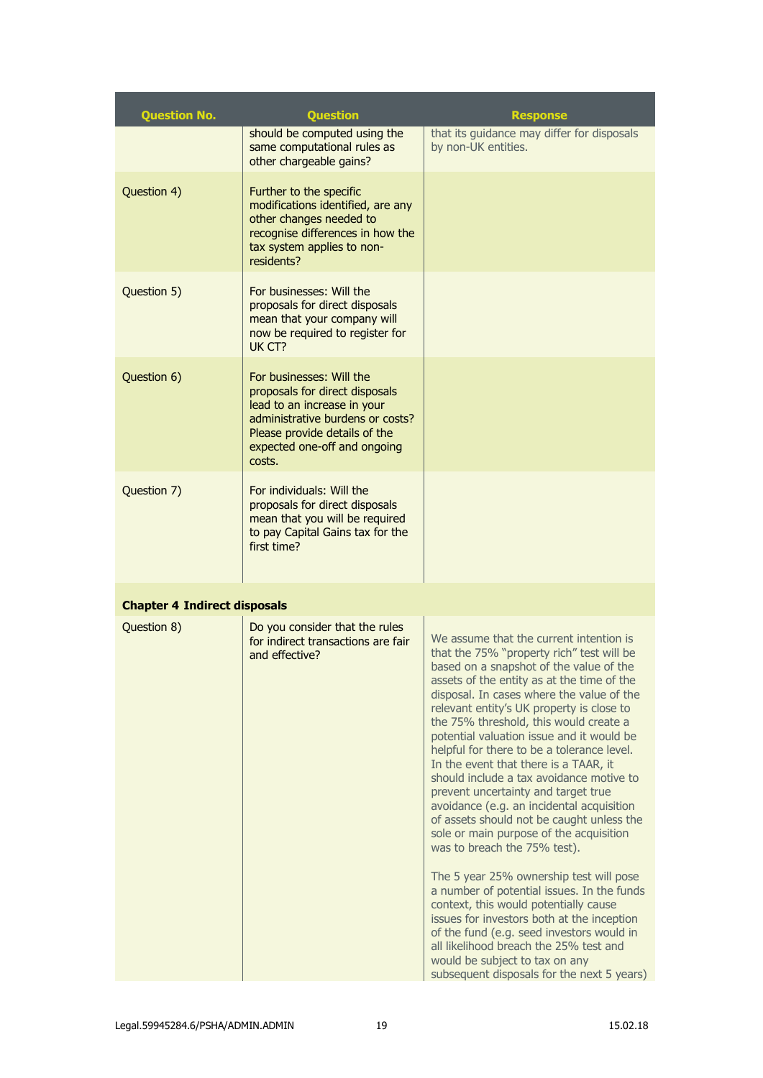| <b>Question No.</b>                 | <b>Question</b>                                                                                                                                                                                          | <b>Response</b>                                                                                                                                                                                                                                                                                                                                                                                              |
|-------------------------------------|----------------------------------------------------------------------------------------------------------------------------------------------------------------------------------------------------------|--------------------------------------------------------------------------------------------------------------------------------------------------------------------------------------------------------------------------------------------------------------------------------------------------------------------------------------------------------------------------------------------------------------|
|                                     | should be computed using the<br>same computational rules as<br>other chargeable gains?                                                                                                                   | that its guidance may differ for disposals<br>by non-UK entities.                                                                                                                                                                                                                                                                                                                                            |
| Question 4)                         | Further to the specific<br>modifications identified, are any<br>other changes needed to<br>recognise differences in how the<br>tax system applies to non-<br>residents?                                  |                                                                                                                                                                                                                                                                                                                                                                                                              |
| Question 5)                         | For businesses: Will the<br>proposals for direct disposals<br>mean that your company will<br>now be required to register for<br>UK CT?                                                                   |                                                                                                                                                                                                                                                                                                                                                                                                              |
| Question 6)                         | For businesses: Will the<br>proposals for direct disposals<br>lead to an increase in your<br>administrative burdens or costs?<br>Please provide details of the<br>expected one-off and ongoing<br>costs. |                                                                                                                                                                                                                                                                                                                                                                                                              |
| Question 7)                         | For individuals: Will the<br>proposals for direct disposals<br>mean that you will be required<br>to pay Capital Gains tax for the<br>first time?                                                         |                                                                                                                                                                                                                                                                                                                                                                                                              |
| <b>Chapter 4 Indirect disposals</b> |                                                                                                                                                                                                          |                                                                                                                                                                                                                                                                                                                                                                                                              |
| Question 8)                         | Do you consider that the rules<br>for indirect transactions are fair<br>and effective?                                                                                                                   | We assume that the current intention is<br>that the 75% "property rich" test will be<br>based on a snapshot of the value of the<br>assets of the entity as at the time of the<br>disposal. In cases where the value of the<br>relevant entity's UK property is close to<br>the 75% threshold, this would create a<br>potential valuation issue and it would be<br>helpful for there to be a tolerance level. |

In the event that there is a TAAR, it should include a tax avoidance motive to prevent uncertainty and target true avoidance (e.g. an incidental acquisition of assets should not be caught unless the sole or main purpose of the acquisition

The 5 year 25% ownership test will pose a number of potential issues. In the funds context, this would potentially cause issues for investors both at the inception of the fund (e.g. seed investors would in

was to breach the 75% test).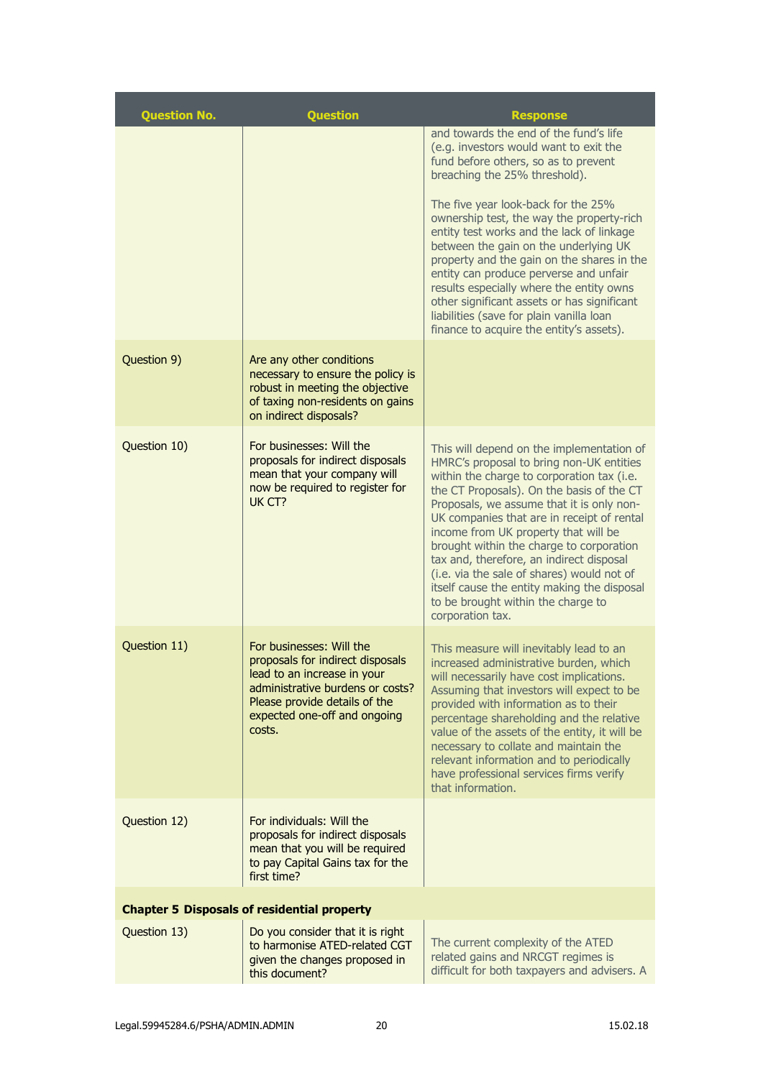| <b>Question No.</b> | <b>Question</b>                                                                                                                                                                                            | <b>Response</b>                                                                                                                                                                                                                                                                                                                                                                                                                                                                                                                                                    |
|---------------------|------------------------------------------------------------------------------------------------------------------------------------------------------------------------------------------------------------|--------------------------------------------------------------------------------------------------------------------------------------------------------------------------------------------------------------------------------------------------------------------------------------------------------------------------------------------------------------------------------------------------------------------------------------------------------------------------------------------------------------------------------------------------------------------|
|                     |                                                                                                                                                                                                            | and towards the end of the fund's life<br>(e.g. investors would want to exit the<br>fund before others, so as to prevent<br>breaching the 25% threshold).                                                                                                                                                                                                                                                                                                                                                                                                          |
|                     |                                                                                                                                                                                                            | The five year look-back for the 25%<br>ownership test, the way the property-rich<br>entity test works and the lack of linkage<br>between the gain on the underlying UK<br>property and the gain on the shares in the<br>entity can produce perverse and unfair<br>results especially where the entity owns<br>other significant assets or has significant<br>liabilities (save for plain vanilla loan<br>finance to acquire the entity's assets).                                                                                                                  |
| Question 9)         | Are any other conditions<br>necessary to ensure the policy is<br>robust in meeting the objective<br>of taxing non-residents on gains<br>on indirect disposals?                                             |                                                                                                                                                                                                                                                                                                                                                                                                                                                                                                                                                                    |
| Question 10)        | For businesses: Will the<br>proposals for indirect disposals<br>mean that your company will<br>now be required to register for<br>UK CT?                                                                   | This will depend on the implementation of<br>HMRC's proposal to bring non-UK entities<br>within the charge to corporation tax (i.e.<br>the CT Proposals). On the basis of the CT<br>Proposals, we assume that it is only non-<br>UK companies that are in receipt of rental<br>income from UK property that will be<br>brought within the charge to corporation<br>tax and, therefore, an indirect disposal<br>(i.e. via the sale of shares) would not of<br>itself cause the entity making the disposal<br>to be brought within the charge to<br>corporation tax. |
| Question 11)        | For businesses: Will the<br>proposals for indirect disposals<br>lead to an increase in your<br>administrative burdens or costs?<br>Please provide details of the<br>expected one-off and ongoing<br>costs. | This measure will inevitably lead to an<br>increased administrative burden, which<br>will necessarily have cost implications.<br>Assuming that investors will expect to be<br>provided with information as to their<br>percentage shareholding and the relative<br>value of the assets of the entity, it will be<br>necessary to collate and maintain the<br>relevant information and to periodically<br>have professional services firms verify<br>that information.                                                                                              |
| Question 12)        | For individuals: Will the<br>proposals for indirect disposals<br>mean that you will be required<br>to pay Capital Gains tax for the<br>first time?                                                         |                                                                                                                                                                                                                                                                                                                                                                                                                                                                                                                                                                    |
|                     | <b>Chapter 5 Disposals of residential property</b>                                                                                                                                                         |                                                                                                                                                                                                                                                                                                                                                                                                                                                                                                                                                                    |
| Question 13)        | Do you consider that it is right<br>to harmonise ATED-related CGT<br>given the changes proposed in<br>this document?                                                                                       | The current complexity of the ATED<br>related gains and NRCGT regimes is<br>difficult for both taxpayers and advisers. A                                                                                                                                                                                                                                                                                                                                                                                                                                           |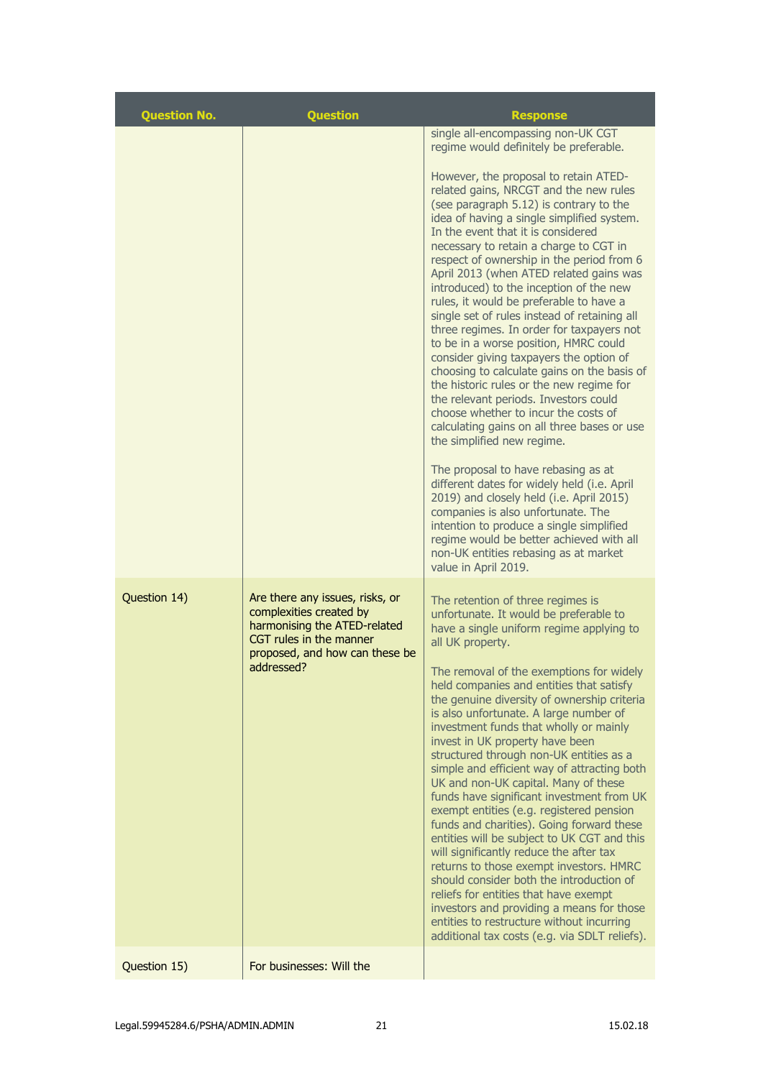| <b>Question No.</b> | <b>Question</b>                                                                                                                                                       | <b>Response</b>                                                                                                                                                                                                                                                                                                                                                                                                                                                                                                                                                                                                                                                                                                                                                                                                                                                                                                                                                                                                                                                                                                                                                                                                                                                                                   |
|---------------------|-----------------------------------------------------------------------------------------------------------------------------------------------------------------------|---------------------------------------------------------------------------------------------------------------------------------------------------------------------------------------------------------------------------------------------------------------------------------------------------------------------------------------------------------------------------------------------------------------------------------------------------------------------------------------------------------------------------------------------------------------------------------------------------------------------------------------------------------------------------------------------------------------------------------------------------------------------------------------------------------------------------------------------------------------------------------------------------------------------------------------------------------------------------------------------------------------------------------------------------------------------------------------------------------------------------------------------------------------------------------------------------------------------------------------------------------------------------------------------------|
|                     |                                                                                                                                                                       | single all-encompassing non-UK CGT<br>regime would definitely be preferable.<br>However, the proposal to retain ATED-<br>related gains, NRCGT and the new rules<br>(see paragraph 5.12) is contrary to the<br>idea of having a single simplified system.<br>In the event that it is considered<br>necessary to retain a charge to CGT in<br>respect of ownership in the period from 6<br>April 2013 (when ATED related gains was<br>introduced) to the inception of the new<br>rules, it would be preferable to have a<br>single set of rules instead of retaining all<br>three regimes. In order for taxpayers not<br>to be in a worse position, HMRC could<br>consider giving taxpayers the option of<br>choosing to calculate gains on the basis of<br>the historic rules or the new regime for<br>the relevant periods. Investors could<br>choose whether to incur the costs of<br>calculating gains on all three bases or use<br>the simplified new regime.<br>The proposal to have rebasing as at<br>different dates for widely held (i.e. April<br>2019) and closely held (i.e. April 2015)<br>companies is also unfortunate. The<br>intention to produce a single simplified<br>regime would be better achieved with all<br>non-UK entities rebasing as at market<br>value in April 2019. |
| Question 14)        | Are there any issues, risks, or<br>complexities created by<br>harmonising the ATED-related<br>CGT rules in the manner<br>proposed, and how can these be<br>addressed? | The retention of three regimes is<br>unfortunate. It would be preferable to<br>have a single uniform regime applying to<br>all UK property.<br>The removal of the exemptions for widely<br>held companies and entities that satisfy<br>the genuine diversity of ownership criteria<br>is also unfortunate. A large number of<br>investment funds that wholly or mainly<br>invest in UK property have been<br>structured through non-UK entities as a<br>simple and efficient way of attracting both<br>UK and non-UK capital. Many of these<br>funds have significant investment from UK<br>exempt entities (e.g. registered pension<br>funds and charities). Going forward these<br>entities will be subject to UK CGT and this<br>will significantly reduce the after tax<br>returns to those exempt investors. HMRC<br>should consider both the introduction of<br>reliefs for entities that have exempt<br>investors and providing a means for those<br>entities to restructure without incurring<br>additional tax costs (e.g. via SDLT reliefs).                                                                                                                                                                                                                                            |
| Question 15)        | For businesses: Will the                                                                                                                                              |                                                                                                                                                                                                                                                                                                                                                                                                                                                                                                                                                                                                                                                                                                                                                                                                                                                                                                                                                                                                                                                                                                                                                                                                                                                                                                   |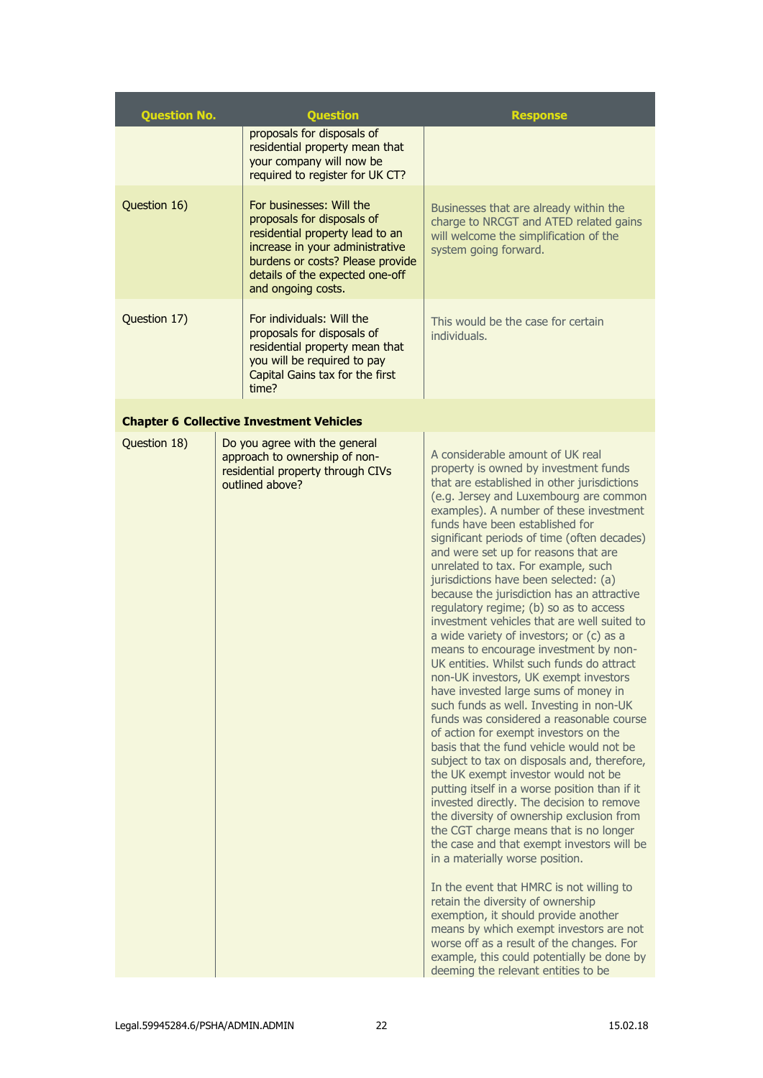| <b>Question No.</b> | <b>Question</b>                                                                                                                                                                                                           | <b>Response</b>                                                                                                                                                                                                                                                                                                                                                                                                                                                                                                                                                                                                                                                                                                                                                                                                                                                                                                                                                                                                                                                                                                                                                                                                                                                                                                                                                                                                                                                                                                                                                                                                                 |
|---------------------|---------------------------------------------------------------------------------------------------------------------------------------------------------------------------------------------------------------------------|---------------------------------------------------------------------------------------------------------------------------------------------------------------------------------------------------------------------------------------------------------------------------------------------------------------------------------------------------------------------------------------------------------------------------------------------------------------------------------------------------------------------------------------------------------------------------------------------------------------------------------------------------------------------------------------------------------------------------------------------------------------------------------------------------------------------------------------------------------------------------------------------------------------------------------------------------------------------------------------------------------------------------------------------------------------------------------------------------------------------------------------------------------------------------------------------------------------------------------------------------------------------------------------------------------------------------------------------------------------------------------------------------------------------------------------------------------------------------------------------------------------------------------------------------------------------------------------------------------------------------------|
|                     | proposals for disposals of<br>residential property mean that<br>your company will now be<br>required to register for UK CT?                                                                                               |                                                                                                                                                                                                                                                                                                                                                                                                                                                                                                                                                                                                                                                                                                                                                                                                                                                                                                                                                                                                                                                                                                                                                                                                                                                                                                                                                                                                                                                                                                                                                                                                                                 |
| Question 16)        | For businesses: Will the<br>proposals for disposals of<br>residential property lead to an<br>increase in your administrative<br>burdens or costs? Please provide<br>details of the expected one-off<br>and ongoing costs. | Businesses that are already within the<br>charge to NRCGT and ATED related gains<br>will welcome the simplification of the<br>system going forward.                                                                                                                                                                                                                                                                                                                                                                                                                                                                                                                                                                                                                                                                                                                                                                                                                                                                                                                                                                                                                                                                                                                                                                                                                                                                                                                                                                                                                                                                             |
| Question 17)        | For individuals: Will the<br>proposals for disposals of<br>residential property mean that<br>you will be required to pay<br>Capital Gains tax for the first<br>time?                                                      | This would be the case for certain<br>individuals.                                                                                                                                                                                                                                                                                                                                                                                                                                                                                                                                                                                                                                                                                                                                                                                                                                                                                                                                                                                                                                                                                                                                                                                                                                                                                                                                                                                                                                                                                                                                                                              |
|                     | <b>Chapter 6 Collective Investment Vehicles</b>                                                                                                                                                                           |                                                                                                                                                                                                                                                                                                                                                                                                                                                                                                                                                                                                                                                                                                                                                                                                                                                                                                                                                                                                                                                                                                                                                                                                                                                                                                                                                                                                                                                                                                                                                                                                                                 |
| Question 18)        | Do you agree with the general<br>approach to ownership of non-<br>residential property through CIVs<br>outlined above?                                                                                                    | A considerable amount of UK real<br>property is owned by investment funds<br>that are established in other jurisdictions<br>(e.g. Jersey and Luxembourg are common<br>examples). A number of these investment<br>funds have been established for<br>significant periods of time (often decades)<br>and were set up for reasons that are<br>unrelated to tax. For example, such<br>jurisdictions have been selected: (a)<br>because the jurisdiction has an attractive<br>regulatory regime; (b) so as to access<br>investment vehicles that are well suited to<br>a wide variety of investors; or (c) as a<br>means to encourage investment by non-<br>UK entities. Whilst such funds do attract<br>non-UK investors, UK exempt investors<br>have invested large sums of money in<br>such funds as well. Investing in non-UK<br>funds was considered a reasonable course<br>of action for exempt investors on the<br>basis that the fund vehicle would not be<br>subject to tax on disposals and, therefore,<br>the UK exempt investor would not be<br>putting itself in a worse position than if it<br>invested directly. The decision to remove<br>the diversity of ownership exclusion from<br>the CGT charge means that is no longer<br>the case and that exempt investors will be<br>in a materially worse position.<br>In the event that HMRC is not willing to<br>retain the diversity of ownership<br>exemption, it should provide another<br>means by which exempt investors are not<br>worse off as a result of the changes. For<br>example, this could potentially be done by<br>deeming the relevant entities to be |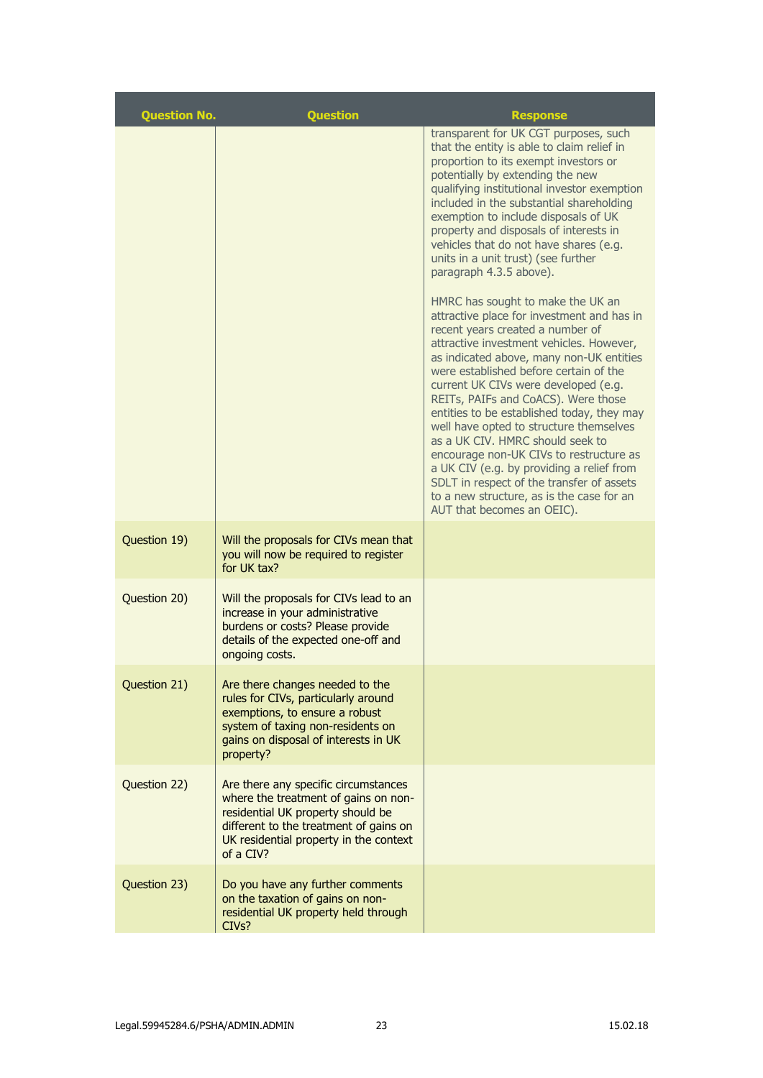| <b>Question No.</b> | <b>Question</b>                                                                                                                                                                                                    | <b>Response</b>                                                                                                                                                                                                                                                                                                                                                                                                                                                                                                                                                                                                                                                                   |
|---------------------|--------------------------------------------------------------------------------------------------------------------------------------------------------------------------------------------------------------------|-----------------------------------------------------------------------------------------------------------------------------------------------------------------------------------------------------------------------------------------------------------------------------------------------------------------------------------------------------------------------------------------------------------------------------------------------------------------------------------------------------------------------------------------------------------------------------------------------------------------------------------------------------------------------------------|
|                     |                                                                                                                                                                                                                    | transparent for UK CGT purposes, such<br>that the entity is able to claim relief in<br>proportion to its exempt investors or<br>potentially by extending the new<br>qualifying institutional investor exemption<br>included in the substantial shareholding<br>exemption to include disposals of UK<br>property and disposals of interests in<br>vehicles that do not have shares (e.g.<br>units in a unit trust) (see further<br>paragraph 4.3.5 above).                                                                                                                                                                                                                         |
|                     |                                                                                                                                                                                                                    | HMRC has sought to make the UK an<br>attractive place for investment and has in<br>recent years created a number of<br>attractive investment vehicles. However,<br>as indicated above, many non-UK entities<br>were established before certain of the<br>current UK CIVs were developed (e.g.<br>REITs, PAIFs and CoACS). Were those<br>entities to be established today, they may<br>well have opted to structure themselves<br>as a UK CIV. HMRC should seek to<br>encourage non-UK CIVs to restructure as<br>a UK CIV (e.g. by providing a relief from<br>SDLT in respect of the transfer of assets<br>to a new structure, as is the case for an<br>AUT that becomes an OEIC). |
| Question 19)        | Will the proposals for CIVs mean that<br>you will now be required to register<br>for UK tax?                                                                                                                       |                                                                                                                                                                                                                                                                                                                                                                                                                                                                                                                                                                                                                                                                                   |
| Question 20)        | Will the proposals for CIVs lead to an<br>increase in your administrative<br>burdens or costs? Please provide<br>details of the expected one-off and<br>ongoing costs.                                             |                                                                                                                                                                                                                                                                                                                                                                                                                                                                                                                                                                                                                                                                                   |
| Question 21)        | Are there changes needed to the<br>rules for CIVs, particularly around<br>exemptions, to ensure a robust<br>system of taxing non-residents on<br>gains on disposal of interests in UK<br>property?                 |                                                                                                                                                                                                                                                                                                                                                                                                                                                                                                                                                                                                                                                                                   |
| Question 22)        | Are there any specific circumstances<br>where the treatment of gains on non-<br>residential UK property should be<br>different to the treatment of gains on<br>UK residential property in the context<br>of a CIV? |                                                                                                                                                                                                                                                                                                                                                                                                                                                                                                                                                                                                                                                                                   |
| Question 23)        | Do you have any further comments<br>on the taxation of gains on non-<br>residential UK property held through<br>CIV <sub>s?</sub>                                                                                  |                                                                                                                                                                                                                                                                                                                                                                                                                                                                                                                                                                                                                                                                                   |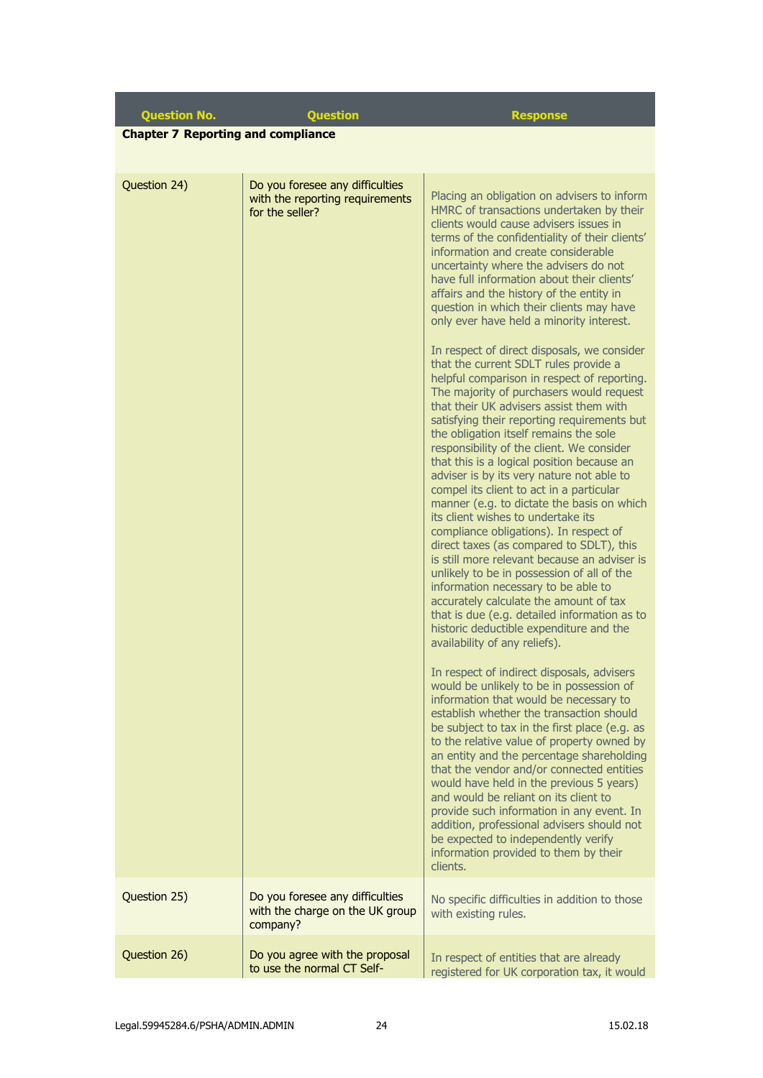**Question No. Question Response**

**Chapter 7 Reporting and compliance**

| Question 24) | Do you foresee any difficulties<br>with the reporting requirements<br>for the seller? | Placing an obligation on advisers to inform<br>HMRC of transactions undertaken by their<br>clients would cause advisers issues in<br>terms of the confidentiality of their clients'<br>information and create considerable<br>uncertainty where the advisers do not<br>have full information about their clients'<br>affairs and the history of the entity in<br>question in which their clients may have<br>only ever have held a minority interest.<br>In respect of direct disposals, we consider<br>that the current SDLT rules provide a<br>helpful comparison in respect of reporting.<br>The majority of purchasers would request<br>that their UK advisers assist them with<br>satisfying their reporting requirements but<br>the obligation itself remains the sole<br>responsibility of the client. We consider<br>that this is a logical position because an<br>adviser is by its very nature not able to<br>compel its client to act in a particular<br>manner (e.g. to dictate the basis on which<br>its client wishes to undertake its<br>compliance obligations). In respect of<br>direct taxes (as compared to SDLT), this<br>is still more relevant because an adviser is<br>unlikely to be in possession of all of the<br>information necessary to be able to<br>accurately calculate the amount of tax<br>that is due (e.g. detailed information as to<br>historic deductible expenditure and the<br>availability of any reliefs).<br>In respect of indirect disposals, advisers<br>would be unlikely to be in possession of<br>information that would be necessary to<br>establish whether the transaction should<br>be subject to tax in the first place (e.g. as<br>to the relative value of property owned by<br>an entity and the percentage shareholding<br>that the vendor and/or connected entities<br>would have held in the previous 5 years)<br>and would be reliant on its client to<br>provide such information in any event. In<br>addition, professional advisers should not<br>be expected to independently verify<br>information provided to them by their<br>clients. |
|--------------|---------------------------------------------------------------------------------------|------------------------------------------------------------------------------------------------------------------------------------------------------------------------------------------------------------------------------------------------------------------------------------------------------------------------------------------------------------------------------------------------------------------------------------------------------------------------------------------------------------------------------------------------------------------------------------------------------------------------------------------------------------------------------------------------------------------------------------------------------------------------------------------------------------------------------------------------------------------------------------------------------------------------------------------------------------------------------------------------------------------------------------------------------------------------------------------------------------------------------------------------------------------------------------------------------------------------------------------------------------------------------------------------------------------------------------------------------------------------------------------------------------------------------------------------------------------------------------------------------------------------------------------------------------------------------------------------------------------------------------------------------------------------------------------------------------------------------------------------------------------------------------------------------------------------------------------------------------------------------------------------------------------------------------------------------------------------------------------------------------------------------------------------------------------------------------------------------------|
| Question 25) | Do you foresee any difficulties<br>with the charge on the UK group<br>company?        | No specific difficulties in addition to those<br>with existing rules.                                                                                                                                                                                                                                                                                                                                                                                                                                                                                                                                                                                                                                                                                                                                                                                                                                                                                                                                                                                                                                                                                                                                                                                                                                                                                                                                                                                                                                                                                                                                                                                                                                                                                                                                                                                                                                                                                                                                                                                                                                      |
| Question 26) | Do you agree with the proposal<br>to use the normal CT Self-                          | In respect of entities that are already<br>registered for UK corporation tax, it would                                                                                                                                                                                                                                                                                                                                                                                                                                                                                                                                                                                                                                                                                                                                                                                                                                                                                                                                                                                                                                                                                                                                                                                                                                                                                                                                                                                                                                                                                                                                                                                                                                                                                                                                                                                                                                                                                                                                                                                                                     |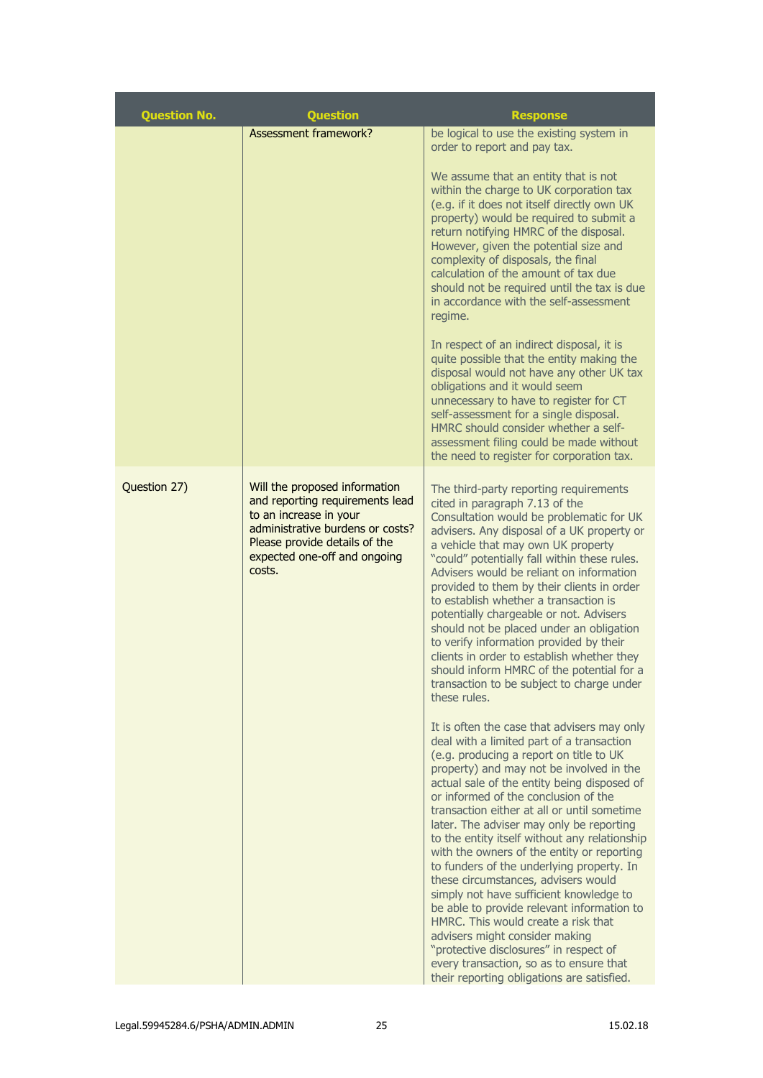| <b>Question No.</b> | <b>Question</b>                                                                                                                                                                                           | <b>Response</b>                                                                                                                                                                                                                                                                                                                                                                                                                                                                                                                                                                                                                                                                                                                                                                                                                                           |
|---------------------|-----------------------------------------------------------------------------------------------------------------------------------------------------------------------------------------------------------|-----------------------------------------------------------------------------------------------------------------------------------------------------------------------------------------------------------------------------------------------------------------------------------------------------------------------------------------------------------------------------------------------------------------------------------------------------------------------------------------------------------------------------------------------------------------------------------------------------------------------------------------------------------------------------------------------------------------------------------------------------------------------------------------------------------------------------------------------------------|
|                     | <b>Assessment framework?</b>                                                                                                                                                                              | be logical to use the existing system in<br>order to report and pay tax.                                                                                                                                                                                                                                                                                                                                                                                                                                                                                                                                                                                                                                                                                                                                                                                  |
|                     |                                                                                                                                                                                                           | We assume that an entity that is not<br>within the charge to UK corporation tax<br>(e.g. if it does not itself directly own UK<br>property) would be required to submit a<br>return notifying HMRC of the disposal.<br>However, given the potential size and<br>complexity of disposals, the final<br>calculation of the amount of tax due<br>should not be required until the tax is due<br>in accordance with the self-assessment<br>regime.<br>In respect of an indirect disposal, it is<br>quite possible that the entity making the<br>disposal would not have any other UK tax<br>obligations and it would seem                                                                                                                                                                                                                                     |
|                     |                                                                                                                                                                                                           | unnecessary to have to register for CT<br>self-assessment for a single disposal.<br>HMRC should consider whether a self-<br>assessment filing could be made without<br>the need to register for corporation tax.                                                                                                                                                                                                                                                                                                                                                                                                                                                                                                                                                                                                                                          |
| Question 27)        | Will the proposed information<br>and reporting requirements lead<br>to an increase in your<br>administrative burdens or costs?<br>Please provide details of the<br>expected one-off and ongoing<br>costs. | The third-party reporting requirements<br>cited in paragraph 7.13 of the<br>Consultation would be problematic for UK<br>advisers. Any disposal of a UK property or<br>a vehicle that may own UK property<br>"could" potentially fall within these rules.<br>Advisers would be reliant on information<br>provided to them by their clients in order<br>to establish whether a transaction is<br>potentially chargeable or not. Advisers<br>should not be placed under an obligation<br>to verify information provided by their<br>clients in order to establish whether they<br>should inform HMRC of the potential for a<br>transaction to be subject to charge under<br>these rules.                                                                                                                                                                     |
|                     |                                                                                                                                                                                                           | It is often the case that advisers may only<br>deal with a limited part of a transaction<br>(e.g. producing a report on title to UK<br>property) and may not be involved in the<br>actual sale of the entity being disposed of<br>or informed of the conclusion of the<br>transaction either at all or until sometime<br>later. The adviser may only be reporting<br>to the entity itself without any relationship<br>with the owners of the entity or reporting<br>to funders of the underlying property. In<br>these circumstances, advisers would<br>simply not have sufficient knowledge to<br>be able to provide relevant information to<br>HMRC. This would create a risk that<br>advisers might consider making<br>"protective disclosures" in respect of<br>every transaction, so as to ensure that<br>their reporting obligations are satisfied. |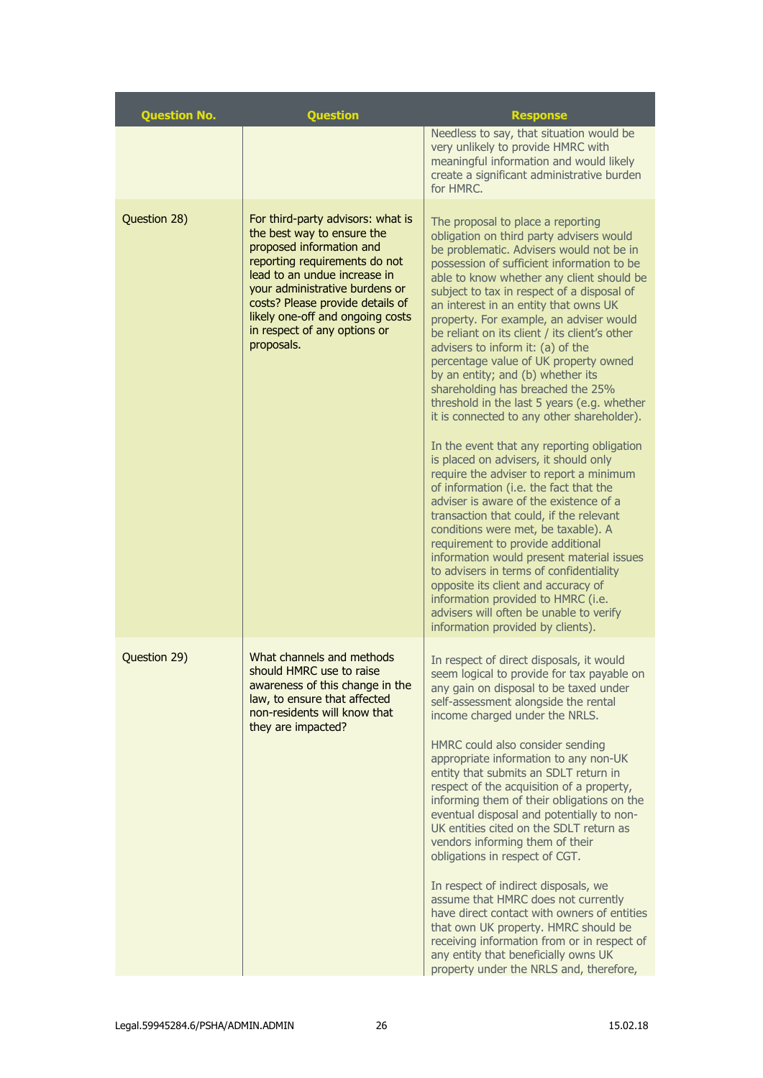| <b>Question No.</b> | <b>Question</b>                                                                                                                                                                                                                                                                                                      | <b>Response</b>                                                                                                                                                                                                                                                                                                                                                                                                                                                                                                                                                                                                                                                                                                                                                                                                                                                                                                                                                                                                                                                                                                                                                                                                                                                |
|---------------------|----------------------------------------------------------------------------------------------------------------------------------------------------------------------------------------------------------------------------------------------------------------------------------------------------------------------|----------------------------------------------------------------------------------------------------------------------------------------------------------------------------------------------------------------------------------------------------------------------------------------------------------------------------------------------------------------------------------------------------------------------------------------------------------------------------------------------------------------------------------------------------------------------------------------------------------------------------------------------------------------------------------------------------------------------------------------------------------------------------------------------------------------------------------------------------------------------------------------------------------------------------------------------------------------------------------------------------------------------------------------------------------------------------------------------------------------------------------------------------------------------------------------------------------------------------------------------------------------|
|                     |                                                                                                                                                                                                                                                                                                                      | Needless to say, that situation would be<br>very unlikely to provide HMRC with<br>meaningful information and would likely<br>create a significant administrative burden<br>for HMRC.                                                                                                                                                                                                                                                                                                                                                                                                                                                                                                                                                                                                                                                                                                                                                                                                                                                                                                                                                                                                                                                                           |
| Question 28)        | For third-party advisors: what is<br>the best way to ensure the<br>proposed information and<br>reporting requirements do not<br>lead to an undue increase in<br>your administrative burdens or<br>costs? Please provide details of<br>likely one-off and ongoing costs<br>in respect of any options or<br>proposals. | The proposal to place a reporting<br>obligation on third party advisers would<br>be problematic. Advisers would not be in<br>possession of sufficient information to be<br>able to know whether any client should be<br>subject to tax in respect of a disposal of<br>an interest in an entity that owns UK<br>property. For example, an adviser would<br>be reliant on its client / its client's other<br>advisers to inform it: (a) of the<br>percentage value of UK property owned<br>by an entity; and (b) whether its<br>shareholding has breached the 25%<br>threshold in the last 5 years (e.g. whether<br>it is connected to any other shareholder).<br>In the event that any reporting obligation<br>is placed on advisers, it should only<br>require the adviser to report a minimum<br>of information (i.e. the fact that the<br>adviser is aware of the existence of a<br>transaction that could, if the relevant<br>conditions were met, be taxable). A<br>requirement to provide additional<br>information would present material issues<br>to advisers in terms of confidentiality<br>opposite its client and accuracy of<br>information provided to HMRC (i.e.<br>advisers will often be unable to verify<br>information provided by clients). |
| Question 29)        | What channels and methods<br>should HMRC use to raise<br>awareness of this change in the<br>law, to ensure that affected<br>non-residents will know that<br>they are impacted?                                                                                                                                       | In respect of direct disposals, it would<br>seem logical to provide for tax payable on<br>any gain on disposal to be taxed under<br>self-assessment alongside the rental<br>income charged under the NRLS.<br>HMRC could also consider sending<br>appropriate information to any non-UK<br>entity that submits an SDLT return in<br>respect of the acquisition of a property,<br>informing them of their obligations on the<br>eventual disposal and potentially to non-<br>UK entities cited on the SDLT return as<br>vendors informing them of their<br>obligations in respect of CGT.<br>In respect of indirect disposals, we<br>assume that HMRC does not currently<br>have direct contact with owners of entities<br>that own UK property. HMRC should be<br>receiving information from or in respect of<br>any entity that beneficially owns UK<br>property under the NRLS and, therefore,                                                                                                                                                                                                                                                                                                                                                               |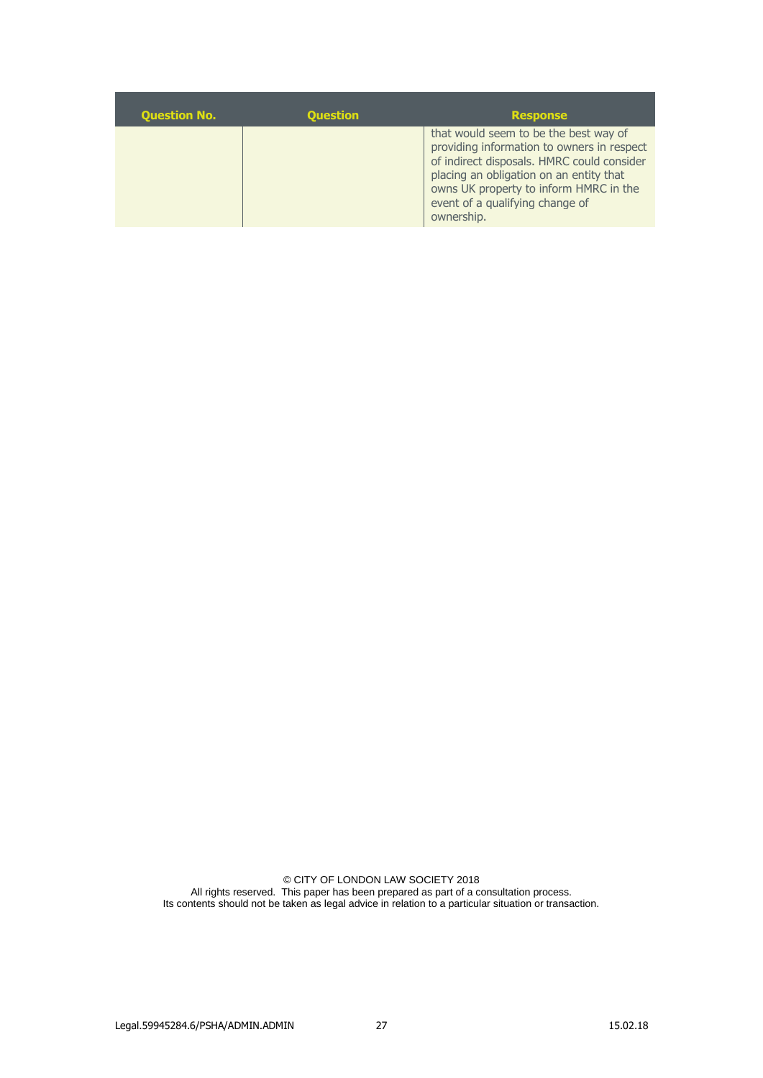| <b>Question No.</b> | <b>Question</b> | <b>Response</b>                                                                                                                                                                                                                                                         |
|---------------------|-----------------|-------------------------------------------------------------------------------------------------------------------------------------------------------------------------------------------------------------------------------------------------------------------------|
|                     |                 | that would seem to be the best way of<br>providing information to owners in respect<br>of indirect disposals. HMRC could consider<br>placing an obligation on an entity that<br>owns UK property to inform HMRC in the<br>event of a qualifying change of<br>ownership. |

© CITY OF LONDON LAW SOCIETY 2018 All rights reserved. This paper has been prepared as part of a consultation process. Its contents should not be taken as legal advice in relation to a particular situation or transaction.